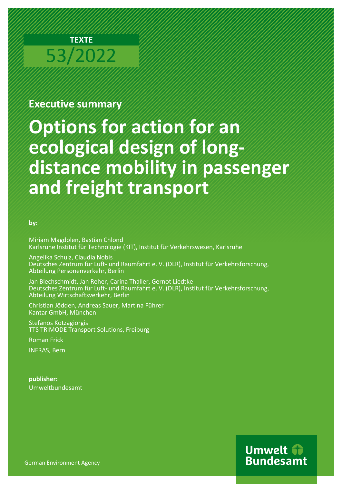

# **Executive summary**

# **Options for action for an ecological design of longdistance mobility in passenger and freight transport**

### **by:**

Miriam Magdolen, Bastian Chlond Karlsruhe Institut für Technologie (KIT), Institut für Verkehrswesen, Karlsruhe

Angelika Schulz, Claudia Nobis Deutsches Zentrum für Luft- und Raumfahrt e. V. (DLR), Institut für Verkehrsforschung, Abteilung Personenverkehr, Berlin

Jan Blechschmidt, Jan Reher, Carina Thaller, Gernot Liedtke Deutsches Zentrum für Luft- und Raumfahrt e. V. (DLR), Institut für Verkehrsforschung, Abteilung Wirtschaftsverkehr, Berlin

Christian Jödden, Andreas Sauer, Martina Führer Kantar GmbH, München

Stefanos Kotzagiorgis TTS TRIMODE Transport Solutions, Freiburg

Roman Frick

INFRAS, Bern

**publisher:** Umweltbundesamt

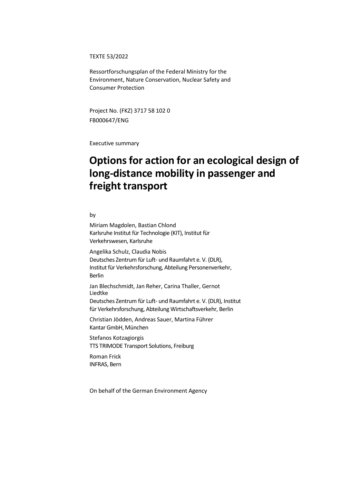TEXTE 53/2022

Ressortforschungsplan of the Federal Ministry for the Environment, Nature Conservation, Nuclear Safety and Consumer Protection

Project No. (FKZ) 3717 58 102 0 FB000647/ENG

Executive summary

# **Options for action for an ecological design of long-distance mobility in passenger and freight transport**

by

Miriam Magdolen, Bastian Chlond Karlsruhe Institut für Technologie (KIT), Institut für Verkehrswesen, Karlsruhe

Angelika Schulz, Claudia Nobis Deutsches Zentrum für Luft- und Raumfahrt e. V. (DLR), Institut für Verkehrsforschung, Abteilung Personenverkehr, Berlin

Jan Blechschmidt, Jan Reher, Carina Thaller, Gernot Liedtke

Deutsches Zentrum für Luft- und Raumfahrt e. V. (DLR), Institut für Verkehrsforschung, Abteilung Wirtschaftsverkehr, Berlin

Christian Jödden, Andreas Sauer, Martina Führer Kantar GmbH, München

Stefanos Kotzagiorgis TTS TRIMODE Transport Solutions, Freiburg

Roman Frick INFRAS, Bern

On behalf of the German Environment Agency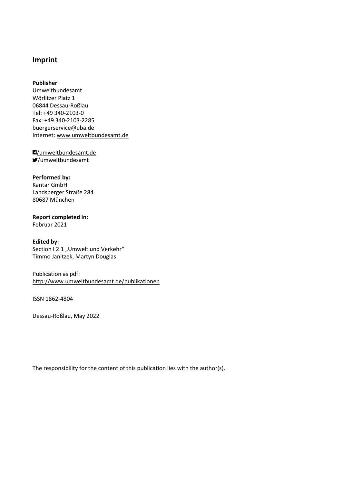### **Imprint**

#### **Publisher**

Umweltbundesamt Wörlitzer Platz 1 06844 Dessau-Roßlau Tel: +49 340-2103-0 Fax: +49 340-2103-2285 [buergerservice@uba.de](mailto:buergerservice@uba.de) Internet[: www.umweltbundesamt.de](file://///tsclient/X/.projekte/19-0356/chapter_00/www.umweltbundesamt.de)

[/umweltbundesamt.de](https://www.facebook.com/umweltbundesamt.de/) [/umweltbundesamt](https://twitter.com/Umweltbundesamt?ref_src=twsrc%5Egoogle%7Ctwcamp%5Eserp%7Ctwgr%5Eauthor)

### **Performed by:**

Kantar GmbH Landsberger Straße 284 80687 München

# **Report completed in:**

Februar 2021

#### **Edited by:** Section I 2.1 "Umwelt und Verkehr" Timmo Janitzek, Martyn Douglas

### Publication as pdf: <http://www.umweltbundesamt.de/publikationen>

ISSN 1862-4804

Dessau-Roßlau, May 2022

The responsibility for the content of this publication lies with the author(s).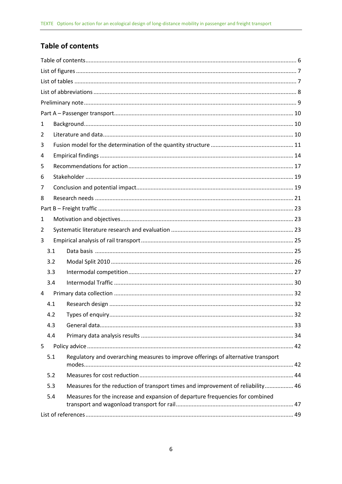### <span id="page-4-0"></span>**Table of contents**

| 1 |     |                                                                                   |  |
|---|-----|-----------------------------------------------------------------------------------|--|
| 2 |     |                                                                                   |  |
| 3 |     |                                                                                   |  |
| 4 |     |                                                                                   |  |
| 5 |     |                                                                                   |  |
| 6 |     |                                                                                   |  |
| 7 |     |                                                                                   |  |
| 8 |     |                                                                                   |  |
|   |     |                                                                                   |  |
| 1 |     |                                                                                   |  |
| 2 |     |                                                                                   |  |
| 3 |     |                                                                                   |  |
|   | 3.1 |                                                                                   |  |
|   | 3.2 |                                                                                   |  |
|   | 3.3 |                                                                                   |  |
|   | 3.4 |                                                                                   |  |
| 4 |     |                                                                                   |  |
|   | 4.1 |                                                                                   |  |
|   | 4.2 |                                                                                   |  |
|   | 4.3 |                                                                                   |  |
|   | 4.4 |                                                                                   |  |
| 5 |     |                                                                                   |  |
|   | 5.1 | Regulatory and overarching measures to improve offerings of alternative transport |  |
|   | 5.2 |                                                                                   |  |
|   | 5.3 | Measures for the reduction of transport times and improvement of reliability 46   |  |
|   | 5.4 | Measures for the increase and expansion of departure frequencies for combined     |  |
|   |     |                                                                                   |  |
|   |     |                                                                                   |  |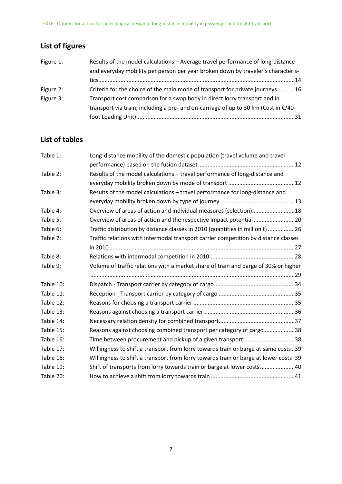# <span id="page-5-0"></span>**List of figures**

| Figure 1: | Results of the model calculations - Average travel performance of long-distance     |
|-----------|-------------------------------------------------------------------------------------|
|           | and everyday mobility per person per year broken down by traveler's characteris-    |
|           |                                                                                     |
| Figure 2: | Criteria for the choice of the main mode of transport for private journeys 16       |
| Figure 3: | Transport cost comparison for a swap body in direct lorry transport and in          |
|           | transport via train, including a pre- and on-carriage of up to 30 km (Cost in €/40- |
|           |                                                                                     |

# <span id="page-5-1"></span>**List of tables**

| Table 1:  | Long-distance mobility of the domestic population (travel volume and travel          |
|-----------|--------------------------------------------------------------------------------------|
|           |                                                                                      |
| Table 2:  | Results of the model calculations - travel performance of long-distance and          |
|           |                                                                                      |
| Table 3:  | Results of the model calculations - travel performance for long-distance and         |
|           |                                                                                      |
| Table 4:  | Overview of areas of action and individual measures (selection) 18                   |
| Table 5:  | Overview of areas of action and the respective impact potential 20                   |
| Table 6:  | Traffic distribution by distance classes in 2010 (quantities in million t)  26       |
| Table 7:  | Traffic relations with intermodal transport carrier competition by distance classes  |
|           |                                                                                      |
| Table 8:  |                                                                                      |
| Table 9:  | Volume of traffic relations with a market share of train and barge of 30% or higher  |
|           |                                                                                      |
| Table 10: |                                                                                      |
| Table 11: |                                                                                      |
| Table 12: |                                                                                      |
| Table 13: |                                                                                      |
| Table 14: |                                                                                      |
| Table 15: | Reasons against choosing combined transport per category of cargo  38                |
| Table 16: | Time between procurement and pickup of a given transport  38                         |
| Table 17: | Willingness to shift a transport from lorry towards train or barge at same costs. 39 |
| Table 18: | Willingness to shift a transport from lorry towards train or barge at lower costs 39 |
| Table 19: | Shift of transports from lorry towards train or barge at lower costs 40              |
| Table 20: |                                                                                      |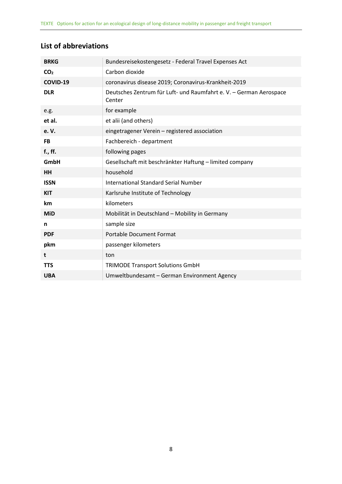<span id="page-6-0"></span>

| <b>BRKG</b>     | Bundesreisekostengesetz - Federal Travel Expenses Act                        |
|-----------------|------------------------------------------------------------------------------|
| CO <sub>2</sub> | Carbon dioxide                                                               |
| COVID-19        | coronavirus disease 2019; Coronavirus-Krankheit-2019                         |
| <b>DLR</b>      | Deutsches Zentrum für Luft- und Raumfahrt e. V. - German Aerospace<br>Center |
| e.g.            | for example                                                                  |
| et al.          | et alii (and others)                                                         |
| e. V.           | eingetragener Verein - registered association                                |
| <b>FB</b>       | Fachbereich - department                                                     |
| f., ff.         | following pages                                                              |
| GmbH            | Gesellschaft mit beschränkter Haftung - limited company                      |
| <b>HH</b>       | household                                                                    |
| <b>ISSN</b>     | <b>International Standard Serial Number</b>                                  |
| <b>KIT</b>      | Karlsruhe Institute of Technology                                            |
| km              | kilometers                                                                   |
| <b>MiD</b>      | Mobilität in Deutschland - Mobility in Germany                               |
| n               | sample size                                                                  |
| <b>PDF</b>      | <b>Portable Document Format</b>                                              |
| pkm             | passenger kilometers                                                         |
| t               | ton                                                                          |
| <b>TTS</b>      | <b>TRIMODE Transport Solutions GmbH</b>                                      |
| <b>UBA</b>      | Umweltbundesamt - German Environment Agency                                  |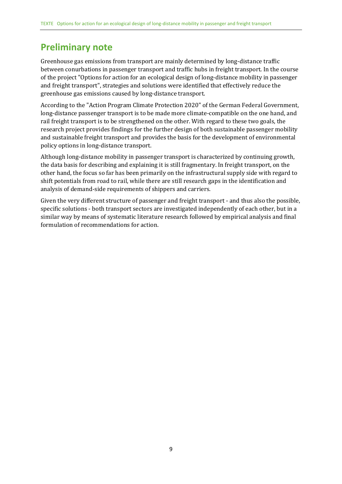# <span id="page-7-0"></span>**Preliminary note**

Greenhouse gas emissions from transport are mainly determined by long-distance traffic between conurbations in passenger transport and traffic hubs in freight transport. In the course of the project "Options for action for an ecological design of long-distance mobility in passenger and freight transport", strategies and solutions were identified that effectively reduce the greenhouse gas emissions caused by long-distance transport.

According to the "Action Program Climate Protection 2020" of the German Federal Government, long-distance passenger transport is to be made more climate-compatible on the one hand, and rail freight transport is to be strengthened on the other. With regard to these two goals, the research project provides findings for the further design of both sustainable passenger mobility and sustainable freight transport and provides the basis for the development of environmental policy options in long-distance transport.

Although long-distance mobility in passenger transport is characterized by continuing growth, the data basis for describing and explaining it is still fragmentary. In freight transport, on the other hand, the focus so far has been primarily on the infrastructural supply side with regard to shift potentials from road to rail, while there are still research gaps in the identification and analysis of demand-side requirements of shippers and carriers.

Given the very different structure of passenger and freight transport - and thus also the possible, specific solutions - both transport sectors are investigated independently of each other, but in a similar way by means of systematic literature research followed by empirical analysis and final formulation of recommendations for action.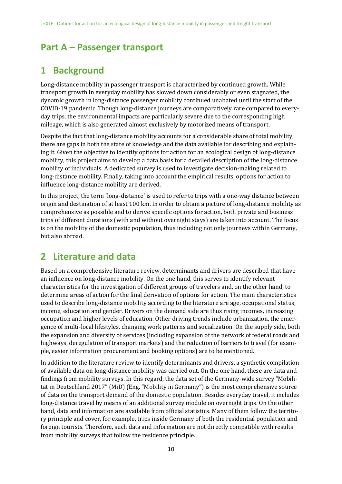# <span id="page-8-0"></span>**Part A – Passenger transport**

# <span id="page-8-1"></span>**1 Background**

Long-distance mobility in passenger transport is characterized by continued growth. While transport growth in everyday mobility has slowed down considerably or even stagnated, the dynamic growth in long-distance passenger mobility continued unabated until the start of the COVID-19 pandemic. Though long-distance journeys are comparatively rare compared to everyday trips, the environmental impacts are particularly severe due to the corresponding high mileage, which is also generated almost exclusively by motorized means of transport.

Despite the fact that long-distance mobility accounts for a considerable share of total mobility, there are gaps in both the state of knowledge and the data available for describing and explaining it. Given the objective to identify options for action for an ecological design of long-distance mobility, this project aims to develop a data basis for a detailed description of the long-distance mobility of individuals. A dedicated survey is used to investigate decision-making related to long-distance mobility. Finally, taking into account the empirical results, options for action to influence long-distance mobility are derived.

In this project, the term 'long-distance' is used to refer to trips with a one-way distance between origin and destination of at least 100 km. In order to obtain a picture of long-distance mobility as comprehensive as possible and to derive specific options for action, both private and business trips of different durations (with and without overnight stays) are taken into account. The focus is on the mobility of the domestic population, thus including not only journeys within Germany, but also abroad.

# <span id="page-8-2"></span>**2 Literature and data**

Based on a comprehensive literature review, determinants and drivers are described that have an influence on long-distance mobility. On the one hand, this serves to identify relevant characteristics for the investigation of different groups of travelers and, on the other hand, to determine areas of action for the final derivation of options for action. The main characteristics used to describe long-distance mobility according to the literature are age, occupational status, income, education and gender. Drivers on the demand side are thus rising incomes, increasing occupation and higher levels of education. Other driving trends include urbanization, the emergence of multi-local lifestyles, changing work patterns and socialization. On the supply side, both the expansion and diversity of services (including expansion of the network of federal roads and highways, deregulation of transport markets) and the reduction of barriers to travel (for example, easier information procurement and booking options) are to be mentioned.

In addition to the literature review to identify determinants and drivers, a synthetic compilation of available data on long-distance mobility was carried out. On the one hand, these are data and findings from mobility surveys. In this regard, the data set of the Germany-wide survey "Mobilität in Deutschland 2017" (MiD) (Eng. "Mobility in Germany") is the most comprehensive source of data on the transport demand of the domestic population. Besides everyday travel, it includes long-distance travel by means of an additional survey module on overnight trips. On the other hand, data and information are available from official statistics. Many of them follow the territory principle and cover, for example, trips inside Germany of both the residential population and foreign tourists. Therefore, such data and information are not directly compatible with results from mobility surveys that follow the residence principle.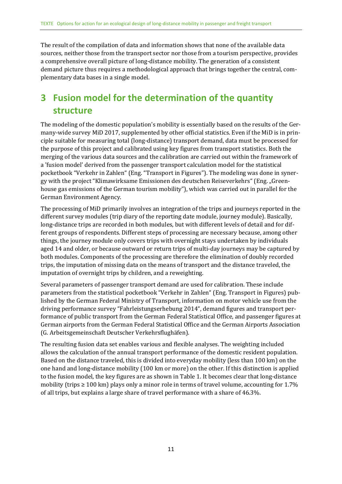The result of the compilation of data and information shows that none of the available data sources, neither those from the transport sector nor those from a tourism perspective, provides a comprehensive overall picture of long-distance mobility. The generation of a consistent demand picture thus requires a methodological approach that brings together the central, complementary data bases in a single model.

# <span id="page-9-0"></span>**3 Fusion model for the determination of the quantity structure**

The modeling of the domestic population's mobility is essentially based on the results of the Germany-wide survey MiD 2017, supplemented by other official statistics. Even if the MiD is in principle suitable for measuring total (long-distance) transport demand, data must be processed for the purpose of this project and calibrated using key figures from transport statistics. Both the merging of the various data sources and the calibration are carried out within the framework of a 'fusion model' derived from the passenger transport calculation model for the statistical pocketbook "Verkehr in Zahlen" (Eng. "Transport in Figures"). The modeling was done in synergy with the project "Klimawirksame Emissionen des deutschen Reiseverkehrs" (Eng. "Greenhouse gas emissions of the German tourism mobility"), which was carried out in parallel for the German Environment Agency.

The processing of MiD primarily involves an integration of the trips and journeys reported in the different survey modules (trip diary of the reporting date module, journey module). Basically, long-distance trips are recorded in both modules, but with different levels of detail and for different groups of respondents. Different steps of processing are necessary because, among other things, the journey module only covers trips with overnight stays undertaken by individuals aged 14 and older, or because outward or return trips of multi-day journeys may be captured by both modules. Components of the processing are therefore the elimination of doubly recorded trips, the imputation of missing data on the means of transport and the distance traveled, the imputation of overnight trips by children, and a reweighting.

Several parameters of passenger transport demand are used for calibration. These include parameters from the statistical pocketbook "Verkehr in Zahlen" (Eng. Transport in Figures) published by the German Federal Ministry of Transport, information on motor vehicle use from the driving performance survey "Fahrleistungserhebung 2014", demand figures and transport performance of public transport from the German Federal Statistical Office, and passenger figures at German airports from the German Federal Statistical Office and the German Airports Association (G. Arbeitsgemeinschaft Deutscher Verkehrsflughäfen).

The resulting fusion data set enables various and flexible analyses. The weighting included allows the calculation of the annual transport performance of the domestic resident population. Based on the distance traveled, this is divided into everyday mobility (less than 100 km) on the one hand and long-distance mobility (100 km or more) on the other. If this distinction is applied to the fusion model, the key figures are as shown in [Table](#page-10-0) 1. It becomes clear that long-distance mobility (trips  $\geq 100$  km) plays only a minor role in terms of travel volume, accounting for 1.7% of all trips, but explains a large share of travel performance with a share of 46.3%.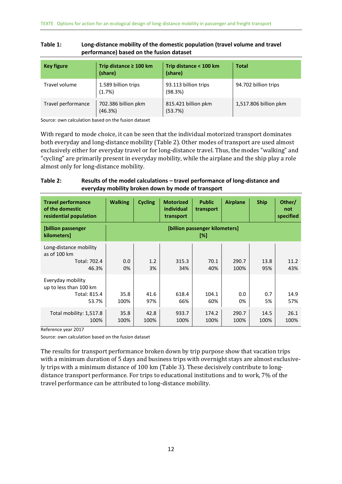| <b>Key figure</b>  | Trip distance $\geq 100$ km<br>(share) | Trip distance < 100 km<br>(share) | <b>Total</b>          |
|--------------------|----------------------------------------|-----------------------------------|-----------------------|
| Travel volume      | 1.589 billion trips<br>(1.7%)          | 93.113 billion trips<br>(98.3%)   | 94.702 billion trips  |
| Travel performance | 702.386 billion pkm<br>(46.3%)         | 815.421 billion pkm<br>(53.7%)    | 1,517.806 billion pkm |

#### <span id="page-10-0"></span>**Table 1: Long-distance mobility of the domestic population (travel volume and travel performance) based on the fusion dataset**

Source: own calculation based on the fusion dataset

With regard to mode choice, it can be seen that the individual motorized transport dominates both everyday and long-distance mobility [\(Table 2\)](#page-10-1). Other modes of transport are used almost exclusively either for everyday travel or for long-distance travel. Thus, the modes "walking" and "cycling" are primarily present in everyday mobility, while the airplane and the ship play a role almost only for long-distance mobility.

### <span id="page-10-1"></span>**Table 2: Results of the model calculations – travel performance of long-distance and everyday mobility broken down by mode of transport**

| <b>Travel performance</b><br>of the domestic<br>residential population | <b>Walking</b> | <b>Cycling</b> | <b>Motorized</b><br><b>individual</b><br>transport | <b>Public</b><br>transport            | <b>Airplane</b> | <b>Ship</b>  | Other/<br>not<br>specified |
|------------------------------------------------------------------------|----------------|----------------|----------------------------------------------------|---------------------------------------|-----------------|--------------|----------------------------|
| [billion passenger<br>kilometers]                                      |                |                |                                                    | [billion passenger kilometers]<br>[%] |                 |              |                            |
| Long-distance mobility<br>as of 100 km<br>Total: 702.4<br>46.3%        | 0.0<br>0%      | 1.2<br>3%      | 315.3<br>34%                                       | 70.1<br>40%                           | 290.7<br>100%   | 13.8<br>95%  | 11.2<br>43%                |
| Everyday mobility<br>up to less than 100 km<br>Total: 815.4<br>53.7%   | 35.8<br>100%   | 41.6<br>97%    | 618.4<br>66%                                       | 104.1<br>60%                          | 0.0<br>0%       | 0.7<br>5%    | 14.9<br>57%                |
| Total mobility: 1,517.8<br>100%                                        | 35.8<br>100%   | 42.8<br>100%   | 933.7<br>100%                                      | 174.2<br>100%                         | 290.7<br>100%   | 14.5<br>100% | 26.1<br>100%               |

Reference year 2017

Source: own calculation based on the fusion dataset

The results for transport performance broken down by trip purpose show that vacation trips with a minimum duration of 5 days and business trips with overnight stays are almost exclusively trips with a minimum distance of 100 km [\(Table 3\)](#page-11-0). These decisively contribute to longdistance transport performance. For trips to educational institutions and to work, 7% of the travel performance can be attributed to long-distance mobility.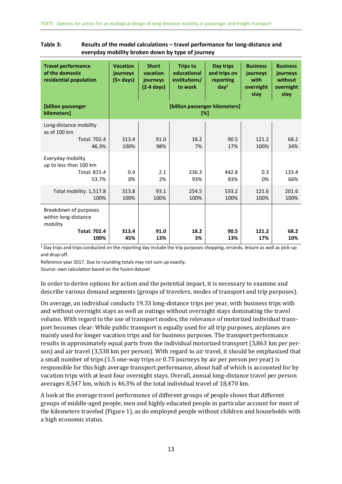| <b>Travel performance</b><br>of the domestic<br>residential population                   | <b>Vacation</b><br>journeys<br>$(5+ days)$ | <b>Short</b><br>vacation<br>journeys<br>$(2-4 \text{ days})$ | <b>Trips to</b><br>educational<br>institutions/<br>to work | Day trips<br>and trips on<br>reporting<br>day <sup>1</sup> | <b>Business</b><br>journeys<br>with<br>overnight<br>stay | <b>Business</b><br>journeys<br>without<br>overnight<br>stay |
|------------------------------------------------------------------------------------------|--------------------------------------------|--------------------------------------------------------------|------------------------------------------------------------|------------------------------------------------------------|----------------------------------------------------------|-------------------------------------------------------------|
| [billion passenger<br>kilometers]                                                        |                                            |                                                              |                                                            | [billion passenger kilometers]<br>[%]                      |                                                          |                                                             |
| Long-distance mobility<br>as of 100 km<br>Total: 702.4<br>46.3%                          | 313.4<br>100%                              | 91.0<br>98%                                                  | 18.2<br>7%                                                 | 90.5<br>17%                                                | 121.2<br>100%                                            | 68.2<br>34%                                                 |
| Everyday mobility<br>up to less than 100 km<br>Total: 815.4<br>53.7%                     | 0.4<br>0%                                  | 2.1<br>2%                                                    | 236.3<br>93%                                               | 442.8<br>83%                                               | 0.3<br>0%                                                | 133.4<br>66%                                                |
| Total mobility: 1,517.8<br>100%                                                          | 313.8<br>100%                              | 93.1<br>100%                                                 | 254.5<br>100%                                              | 533.2<br>100%                                              | 121.6<br>100%                                            | 201.6<br>100%                                               |
| Breakdown of purposes<br>within long-distance<br>mobility<br><b>Total: 702.4</b><br>100% | 313.4<br>45%                               | 91.0<br>13%                                                  | 18.2<br>3%                                                 | 90.5<br>13%                                                | 121.2<br>17%                                             | 68.2<br>10%                                                 |

#### <span id="page-11-0"></span>**Table 3: Results of the model calculations – travel performance for long-distance and everyday mobility broken down by type of journey**

 $1$  Day trips and trips conducted on the reporting day include the trip purposes shopping, errands, leisure as well as pick-up and drop-off.

Reference year 2017. Due to rounding totals may not sum up exactly.

Source: own calculation based on the fusion dataset

In order to derive options for action and the potential impact, it is necessary to examine and describe various demand segments (groups of travelers, modes of transport and trip purposes).

On average, an individual conducts 19.33 long-distance trips per year, with business trips with and without overnight stays as well as outings without overnight stays dominating the travel volume. With regard to the use of transport modes, the relevance of motorized individual transport becomes clear: While public transport is equally used for all trip purposes, airplanes are mainly used for longer vacation trips and for business purposes. The transport performance results in approximately equal parts from the individual motorized transport (3,863 km per person) and air travel (3,538 km per person). With regard to air travel, it should be emphasized that a small number of trips (1.5 one-way trips or 0.75 journeys by air per person per year) is responsible for this high average transport performance, about half of which is accounted for by vacation trips with at least four overnight stays. Overall, annual long-distance travel per person averages 8,547 km, which is 46.3% of the total individual travel of 18,470 km.

A look at the average travel performance of different groups of people shows that different groups of middle-aged people, men and highly educated people in particular account for most of the kilometers traveled [\(Figure](#page-12-1) 1), as do employed people without children and households with a high economic status.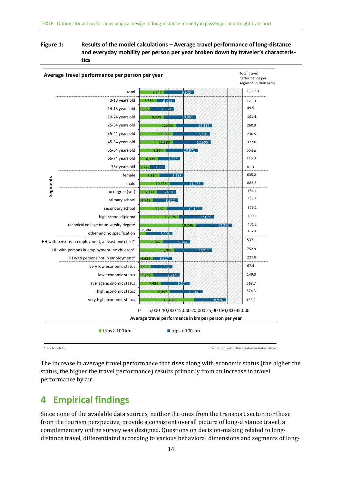#### <span id="page-12-1"></span>**Figure 1: Results of the model calculations – Average travel performance of long-distance and everyday mobility per person per year broken down by traveler's characteristics**



The increase in average travel performance that rises along with economic status (the higher the status, the higher the travel performance) results primarily from an increase in travel performance by air.

# <span id="page-12-0"></span>**4 Empirical findings**

Since none of the available data sources, neither the ones from the transport sector nor those from the tourism perspective, provide a consistent overall picture of long-distance travel, a complementary online survey was designed. Questions on decision-making related to longdistance travel, differentiated according to various behavioral dimensions and segments of long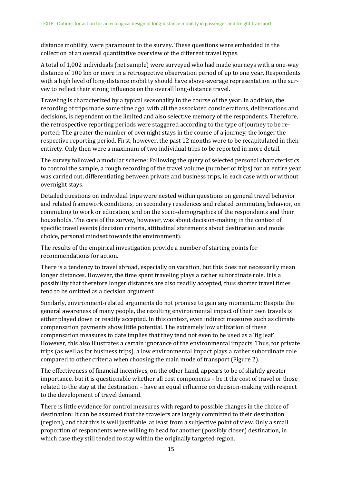distance mobility, were paramount to the survey. These questions were embedded in the collection of an overall quantitative overview of the different travel types.

A total of 1,002 individuals (net sample) were surveyed who had made journeys with a one-way distance of 100 km or more in a retrospective observation period of up to one year. Respondents with a high level of long-distance mobility should have above-average representation in the survey to reflect their strong influence on the overall long-distance travel.

Traveling is characterized by a typical seasonality in the course of the year. In addition, the recording of trips made some time ago, with all the associated considerations, deliberations and decisions, is dependent on the limited and also selective memory of the respondents. Therefore, the retrospective reporting periods were staggered according to the type of journey to be reported: The greater the number of overnight stays in the course of a journey, the longer the respective reporting period. First, however, the past 12 months were to be recapitulated in their entirety. Only then were a maximum of two individual trips to be reported in more detail.

The survey followed a modular scheme: Following the query of selected personal characteristics to control the sample, a rough recording of the travel volume (number of trips) for an entire year was carried out, differentiating between private and business trips, in each case with or without overnight stays.

Detailed questions on individual trips were nested within questions on general travel behavior and related framework conditions, on secondary residences and related commuting behavior, on commuting to work or education, and on the socio-demographics of the respondents and their households. The core of the survey, however, was about decision-making in the context of specific travel events (decision criteria, attitudinal statements about destination and mode choice, personal mindset towards the environment).

The results of the empirical investigation provide a number of starting points for recommendations for action.

There is a tendency to travel abroad, especially on vacation, but this does not necessarily mean longer distances. However, the time spent traveling plays a rather subordinate role. It is a possibility that therefore longer distances are also readily accepted, thus shorter travel times tend to be omitted as a decision argument.

Similarly, environment-related arguments do not promise to gain any momentum: Despite the general awareness of many people, the resulting environmental impact of their own travels is either played down or readily accepted. In this context, even indirect measures such as climate compensation payments show little potential. The extremely low utilization of these compensation measures to date implies that they tend not even to be used as a 'fig leaf'. However, this also illustrates a certain ignorance of the environmental impacts. Thus, for private trips (as well as for business trips), a low environmental impact plays a rather subordinate role compared to other criteria when choosing the main mode of transport [\(Figure](#page-14-0) 2).

The effectiveness of financial incentives, on the other hand, appears to be of slightly greater importance, but it is questionable whether all cost components – be it the cost of travel or those related to the stay at the destination – have an equal influence on decision-making with respect to the development of travel demand.

There is little evidence for control measures with regard to possible changes in the choice of destination: It can be assumed that the travelers are largely committed to their destination (region), and that this is well justifiable, at least from a subjective point of view. Only a small proportion of respondents were willing to head for another (possibly closer) destination, in which case they still tended to stay within the originally targeted region.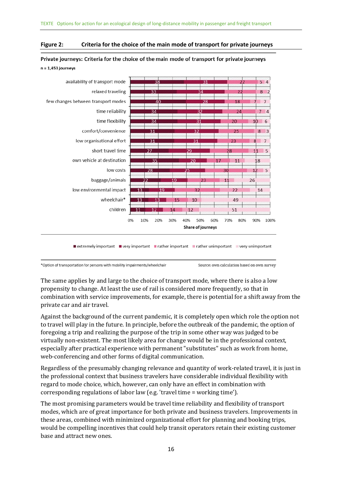#### <span id="page-14-0"></span>**Figure 2: Criteria for the choice of the main mode of transport for private journeys**



Private journeys: Criteria for the choice of the main mode of transport for private journeys  $n = 1,453$  journeys

\*Option of transportation for persons with mobility impairments/wheelchair

Source: own calculation based on own survey

The same applies by and large to the choice of transport mode, where there is also a low propensity to change. At least the use of rail is considered more frequently, so that in combination with service improvements, for example, there is potential for a shift away from the private car and air travel.

Against the background of the current pandemic, it is completely open which role the option not to travel will play in the future. In principle, before the outbreak of the pandemic, the option of foregoing a trip and realizing the purpose of the trip in some other way was judged to be virtually non-existent. The most likely area for change would be in the professional context, especially after practical experience with permanent "substitutes" such as work from home, web-conferencing and other forms of digital communication.

Regardless of the presumably changing relevance and quantity of work-related travel, it is just in the professional context that business travelers have considerable individual flexibility with regard to mode choice, which, however, can only have an effect in combination with corresponding regulations of labor law (e.g. 'travel time = working time').

The most promising parameters would be travel time reliability and flexibility of transport modes, which are of great importance for both private and business travelers. Improvements in these areas, combined with minimized organizational effort for planning and booking trips, would be compelling incentives that could help transit operators retain their existing customer base and attract new ones.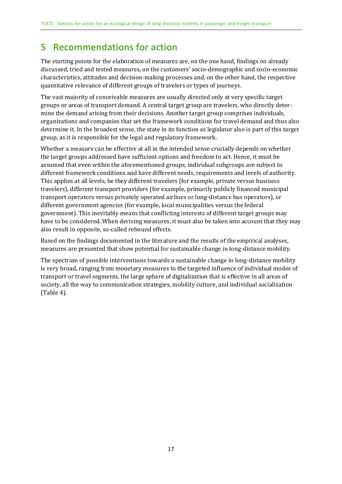# <span id="page-15-0"></span>**5 Recommendations for action**

The starting points for the elaboration of measures are, on the one hand, findings on already discussed, tried and tested measures, on the customers' socio-demographic and socio-economic characteristics, attitudes and decision-making processes and, on the other hand, the respective quantitative relevance of different groups of travelers or types of journeys.

The vast majority of conceivable measures are usually directed only at very specific target groups or areas of transport demand. A central target group are travelers, who directly determine the demand arising from their decisions. Another target group comprises individuals, organizations and companies that set the framework conditions for travel demand and thus also determine it. In the broadest sense, the state in its function as legislator also is part of this target group, as it is responsible for the legal and regulatory framework.

Whether a measure can be effective at all in the intended sense crucially depends on whether the target groups addressed have sufficient options and freedom to act. Hence, it must be assumed that even within the aforementioned groups, individual subgroups are subject to different framework conditions and have different needs, requirements and levels of authority. This applies at all levels, be they different travelers (for example, private versus business travelers), different transport providers (for example, primarily publicly financed municipal transport operators versus privately operated airlines or long-distance bus operators), or different government agencies (for example, local municipalities versus the federal government). This inevitably means that conflicting interests of different target groups may have to be considered. When deriving measures, it must also be taken into account that they may also result in opposite, so-called rebound effects.

Based on the findings documented in the literature and the results of the empirical analyses, measures are presented that show potential for sustainable change in long-distance mobility.

The spectrum of possible interventions towards a sustainable change in long-distance mobility is very broad, ranging from monetary measures to the targeted influence of individual modes of transport or travel segments, the large sphere of digitalization that is effective in all areas of society, all the way to communication strategies, mobility culture, and individual socialization [\(Table](#page-16-0) 4).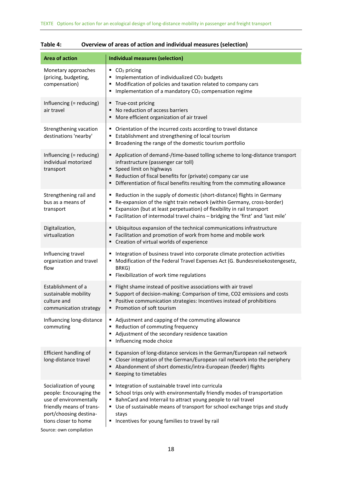| <b>Area of action</b>                                                                                                                                                                | <b>Individual measures (selection)</b>                                                                                                                                                                                                                                                                                                                        |
|--------------------------------------------------------------------------------------------------------------------------------------------------------------------------------------|---------------------------------------------------------------------------------------------------------------------------------------------------------------------------------------------------------------------------------------------------------------------------------------------------------------------------------------------------------------|
| Monetary approaches<br>(pricing, budgeting,<br>compensation)                                                                                                                         | $\bullet$ CO <sub>2</sub> pricing<br>Implementation of individualized CO <sub>2</sub> budgets<br>Modification of policies and taxation related to company cars<br>Implementation of a mandatory CO <sub>2</sub> compensation regime<br>٠                                                                                                                      |
| Influencing (= reducing)<br>air travel                                                                                                                                               | ■ True-cost pricing<br>No reduction of access barriers<br>• More efficient organization of air travel                                                                                                                                                                                                                                                         |
| Strengthening vacation<br>destinations 'nearby'                                                                                                                                      | • Orientation of the incurred costs according to travel distance<br>Establishment and strengthening of local tourism<br>Broadening the range of the domestic tourism portfolio                                                                                                                                                                                |
| Influencing (= reducing)<br>individual motorized<br>transport                                                                                                                        | Application of demand-/time-based tolling scheme to long-distance transport<br>infrastructure (passenger car toll)<br>• Speed limit on highways<br>Reduction of fiscal benefits for (private) company car use<br>• Differentiation of fiscal benefits resulting from the commuting allowance                                                                  |
| Strengthening rail and<br>bus as a means of<br>transport                                                                                                                             | ■ Reduction in the supply of domestic (short-distance) flights in Germany<br>Re-expansion of the night train network (within Germany, cross-border)<br>٠<br>Expansion (but at least perpetuation) of flexibility in rail transport<br>٠<br>" Facilitation of intermodal travel chains - bridging the 'first' and 'last mile'                                  |
| Digitalization,<br>virtualization                                                                                                                                                    | Ubiquitous expansion of the technical communications infrastructure<br>٠<br>■ Facilitation and promotion of work from home and mobile work<br>" Creation of virtual worlds of experience                                                                                                                                                                      |
| Influencing travel<br>organization and travel<br>flow                                                                                                                                | Integration of business travel into corporate climate protection activities<br>٠<br>Modification of the Federal Travel Expenses Act (G. Bundesreisekostengesetz,<br>BRKG)<br>■ Flexibilization of work time regulations                                                                                                                                       |
| Establishment of a<br>sustainable mobility<br>culture and<br>communication strategy                                                                                                  | Flight shame instead of positive associations with air travel<br>٠<br>Support of decision-making: Comparison of time, CO2 emissions and costs<br>Positive communication strategies: Incentives instead of prohibitions<br>Promotion of soft tourism                                                                                                           |
| Influencing long-distance<br>commuting                                                                                                                                               | Adjustment and capping of the commuting allowance<br>٠<br>Reduction of commuting frequency<br>٠<br>Adjustment of the secondary residence taxation<br>Influencing mode choice                                                                                                                                                                                  |
| Efficient handling of<br>long-distance travel                                                                                                                                        | Expansion of long-distance services in the German/European rail network<br>Closer integration of the German/European rail network into the periphery<br>Abandonment of short domestic/intra-European (feeder) flights<br>Keeping to timetables                                                                                                                |
| Socialization of young<br>people: Encouraging the<br>use of environmentally<br>friendly means of trans-<br>port/choosing destina-<br>tions closer to home<br>Source: own compilation | Integration of sustainable travel into curricula<br>۰.<br>School trips only with environmentally friendly modes of transportation<br>٠.<br>BahnCard and Interrail to attract young people to rail travel<br>٠<br>■ Use of sustainable means of transport for school exchange trips and study<br>stays<br>Incentives for young families to travel by rail<br>٠ |

### <span id="page-16-0"></span>**Table 4: Overview of areas of action and individual measures (selection)**

Source: own compilation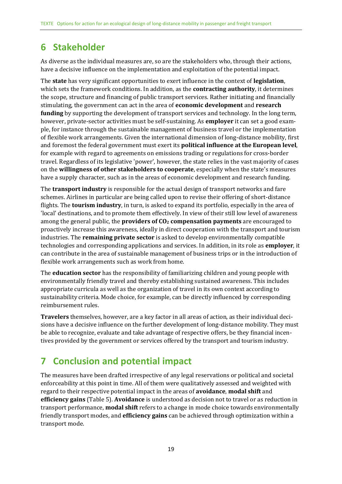# <span id="page-17-0"></span>**6 Stakeholder**

As diverse as the individual measures are, so are the stakeholders who, through their actions, have a decisive influence on the implementation and exploitation of the potential impact.

The **state** has very significant opportunities to exert influence in the context of **legislation**, which sets the framework conditions. In addition, as the **contracting authority**, it determines the scope, structure and financing of public transport services. Rather initiating and financially stimulating, the government can act in the area of **economic development** and **research funding** by supporting the development of transport services and technology. In the long term, however, private-sector activities must be self-sustaining. As **employer** it can set a good example, for instance through the sustainable management of business travel or the implementation of flexible work arrangements. Given the international dimension of long-distance mobility, first and foremost the federal government must exert its **political influence at the European level**, for example with regard to agreements on emissions trading or regulations for cross-border travel. Regardless of its legislative 'power', however, the state relies in the vast majority of cases on the **willingness of other stakeholders to cooperate**, especially when the state's measures have a supply character, such as in the areas of economic development and research funding.

The **transport industry** is responsible for the actual design of transport networks and fare schemes. Airlines in particular are being called upon to revise their offering of short-distance flights. The **tourism industry**, in turn, is asked to expand its portfolio, especially in the area of 'local' destinations, and to promote them effectively. In view of their still low level of awareness among the general public, the **providers of CO<sup>2</sup> compensation payments** are encouraged to proactively increase this awareness, ideally in direct cooperation with the transport and tourism industries. The **remaining private sector** is asked to develop environmentally compatible technologies and corresponding applications and services. In addition, in its role as **employer**, it can contribute in the area of sustainable management of business trips or in the introduction of flexible work arrangements such as work from home.

The **education sector** has the responsibility of familiarizing children and young people with environmentally friendly travel and thereby establishing sustained awareness. This includes appropriate curricula as well as the organization of travel in its own context according to sustainability criteria. Mode choice, for example, can be directly influenced by corresponding reimbursement rules.

**Travelers** themselves, however, are a key factor in all areas of action, as their individual decisions have a decisive influence on the further development of long-distance mobility. They must be able to recognize, evaluate and take advantage of respective offers, be they financial incentives provided by the government or services offered by the transport and tourism industry.

# <span id="page-17-1"></span>**7 Conclusion and potential impact**

The measures have been drafted irrespective of any legal reservations or political and societal enforceability at this point in time. All of them were qualitatively assessed and weighted with regard to their respective potential impact in the areas of **avoidance**, **modal shift** and **efficiency gains** [\(Table](#page-18-0) 5). **Avoidance** is understood as decision not to travel or as reduction in transport performance, **modal shift** refers to a change in mode choice towards environmentally friendly transport modes, and **efficiency gains** can be achieved through optimization within a transport mode.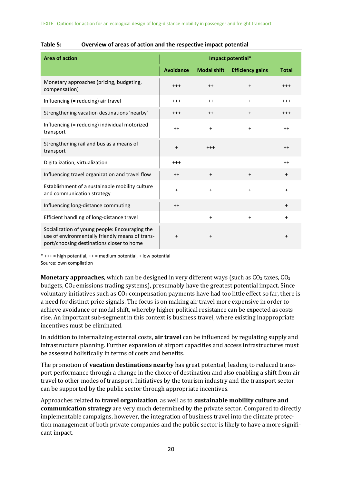| <b>Area of action</b>                                                                                                                          | Impact potential* |                    |                         |              |  |  |
|------------------------------------------------------------------------------------------------------------------------------------------------|-------------------|--------------------|-------------------------|--------------|--|--|
|                                                                                                                                                | <b>Avoidance</b>  | <b>Modal shift</b> | <b>Efficiency gains</b> | <b>Total</b> |  |  |
| Monetary approaches (pricing, budgeting,<br>compensation)                                                                                      | $^{++}$           | $++$               | $+$                     | $^{+++}$     |  |  |
| Influencing (= reducing) air travel                                                                                                            | $^{+++}$          | $++$               | $\ddot{}$               | $^{+++}$     |  |  |
| Strengthening vacation destinations 'nearby'                                                                                                   | $^{+++}$          | $++$               | $\ddot{}$               | $^{+++}$     |  |  |
| Influencing (= reducing) individual motorized<br>transport                                                                                     | $^{++}$           | $+$                | $\ddot{}$               | $^{++}$      |  |  |
| Strengthening rail and bus as a means of<br>transport                                                                                          | $\ddot{}$         | $+++$              |                         | $++$         |  |  |
| Digitalization, virtualization                                                                                                                 | $^{++}$           |                    |                         | $++$         |  |  |
| Influencing travel organization and travel flow                                                                                                | $++$              | $\ddot{}$          | $\ddot{}$               | $\ddot{}$    |  |  |
| Establishment of a sustainable mobility culture<br>and communication strategy                                                                  | $\ddot{}$         | $\ddot{}$          | $\ddot{}$               | $\ddot{}$    |  |  |
| Influencing long-distance commuting                                                                                                            | $^{++}$           |                    |                         | $\ddot{}$    |  |  |
| Efficient handling of long-distance travel                                                                                                     |                   | $+$                | $+$                     | $\ddot{}$    |  |  |
| Socialization of young people: Encouraging the<br>use of environmentally friendly means of trans-<br>port/choosing destinations closer to home | $\ddot{}$         | $\ddot{}$          |                         | $\ddot{}$    |  |  |

#### <span id="page-18-0"></span>**Table 5: Overview of areas of action and the respective impact potential**

 $* + + +$  = high potential,  $++$  = medium potential,  $+$  low potential Source: own compilation

**Monetary approaches**, which can be designed in very different ways (such as CO<sub>2</sub> taxes, CO<sub>2</sub> budgets, CO<sub>2</sub> emissions trading systems), presumably have the greatest potential impact. Since voluntary initiatives such as  $CO<sub>2</sub>$  compensation payments have had too little effect so far, there is a need for distinct price signals. The focus is on making air travel more expensive in order to achieve avoidance or modal shift, whereby higher political resistance can be expected as costs rise. An important sub-segment in this context is business travel, where existing inappropriate incentives must be eliminated.

In addition to internalizing external costs, **air travel** can be influenced by regulating supply and infrastructure planning. Further expansion of airport capacities and access infrastructures must be assessed holistically in terms of costs and benefits.

The promotion of **vacation destinations nearby** has great potential, leading to reduced transport performance through a change in the choice of destination and also enabling a shift from air travel to other modes of transport. Initiatives by the tourism industry and the transport sector can be supported by the public sector through appropriate incentives.

Approaches related to **travel organization**, as well as to **sustainable mobility culture and communication strategy** are very much determined by the private sector. Compared to directly implementable campaigns, however, the integration of business travel into the climate protection management of both private companies and the public sector is likely to have a more significant impact.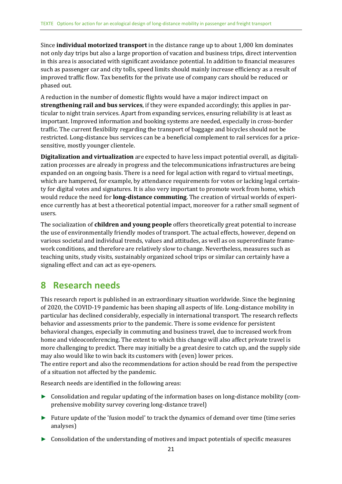Since **individual motorized transport** in the distance range up to about 1,000 km dominates not only day trips but also a large proportion of vacation and business trips, direct intervention in this area is associated with significant avoidance potential. In addition to financial measures such as passenger car and city tolls, speed limits should mainly increase efficiency as a result of improved traffic flow. Tax benefits for the private use of company cars should be reduced or phased out.

A reduction in the number of domestic flights would have a major indirect impact on **strengthening rail and bus services**, if they were expanded accordingly; this applies in particular to night train services. Apart from expanding services, ensuring reliability is at least as important. Improved information and booking systems are needed, especially in cross-border traffic. The current flexibility regarding the transport of baggage and bicycles should not be restricted. Long-distance bus services can be a beneficial complement to rail services for a pricesensitive, mostly younger clientele.

**Digitalization and virtualization** are expected to have less impact potential overall, as digitalization processes are already in progress and the telecommunications infrastructures are being expanded on an ongoing basis. There is a need for legal action with regard to virtual meetings, which are hampered, for example, by attendance requirements for votes or lacking legal certainty for digital votes and signatures. It is also very important to promote work from home, which would reduce the need for **long-distance commuting**. The creation of virtual worlds of experience currently has at best a theoretical potential impact, moreover for a rather small segment of users.

The socialization of **children and young people** offers theoretically great potential to increase the use of environmentally friendly modes of transport. The actual effects, however, depend on various societal and individual trends, values and attitudes, as well as on superordinate framework conditions, and therefore are relatively slow to change. Nevertheless, measures such as teaching units, study visits, sustainably organized school trips or similar can certainly have a signaling effect and can act as eye-openers.

# <span id="page-19-0"></span>**8 Research needs**

This research report is published in an extraordinary situation worldwide. Since the beginning of 2020, the COVID-19 pandemic has been shaping all aspects of life. Long-distance mobility in particular has declined considerably, especially in international transport. The research reflects behavior and assessments prior to the pandemic. There is some evidence for persistent behavioral changes, especially in commuting and business travel, due to increased work from home and videoconferencing. The extent to which this change will also affect private travel is more challenging to predict. There may initially be a great desire to catch up, and the supply side may also would like to win back its customers with (even) lower prices. The entire report and also the recommendations for action should be read from the perspective of a situation not affected by the pandemic.

Research needs are identified in the following areas:

- ► Consolidation and regular updating of the information bases on long-distance mobility (comprehensive mobility survey covering long-distance travel)
- ► Future update of the 'fusion model' to track the dynamics of demand over time (time series analyses)
- ► Consolidation of the understanding of motives and impact potentials of specific measures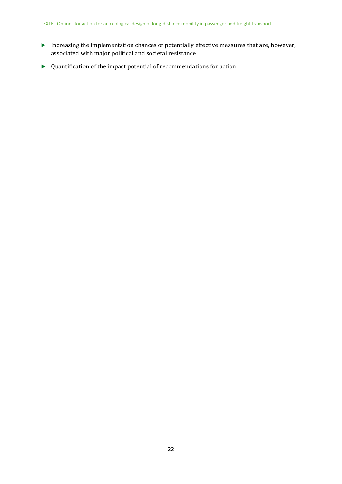- ► Increasing the implementation chances of potentially effective measures that are, however, associated with major political and societal resistance
- ► Quantification of the impact potential of recommendations for action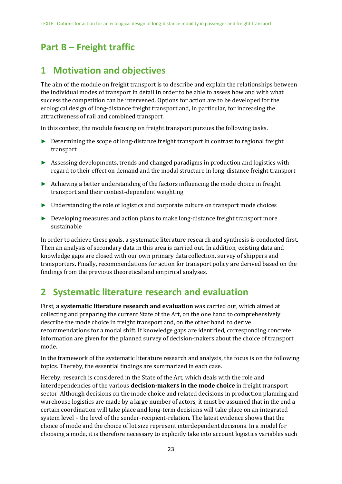# <span id="page-21-0"></span>**Part B – Freight traffic**

# <span id="page-21-1"></span>**1 Motivation and objectives**

The aim of the module on freight transport is to describe and explain the relationships between the individual modes of transport in detail in order to be able to assess how and with what success the competition can be intervened. Options for action are to be developed for the ecological design of long-distance freight transport and, in particular, for increasing the attractiveness of rail and combined transport.

In this context, the module focusing on freight transport pursues the following tasks.

- ► Determining the scope of long-distance freight transport in contrast to regional freight transport
- ► Assessing developments, trends and changed paradigms in production and logistics with regard to their effect on demand and the modal structure in long-distance freight transport
- ► Achieving a better understanding of the factors influencing the mode choice in freight transport and their context-dependent weighting
- ► Understanding the role of logistics and corporate culture on transport mode choices
- ► Developing measures and action plans to make long-distance freight transport more sustainable

In order to achieve these goals, a systematic literature research and synthesis is conducted first. Then an analysis of secondary data in this area is carried out. In addition, existing data and knowledge gaps are closed with our own primary data collection, survey of shippers and transporters. Finally, recommendations for action for transport policy are derived based on the findings from the previous theoretical and empirical analyses.

# <span id="page-21-2"></span>**2 Systematic literature research and evaluation**

First, **a systematic literature research and evaluation** was carried out, which aimed at collecting and preparing the current State of the Art, on the one hand to comprehensively describe the mode choice in freight transport and, on the other hand, to derive recommendations for a modal shift. If knowledge gaps are identified, corresponding concrete information are given for the planned survey of decision-makers about the choice of transport mode.

In the framework of the systematic literature research and analysis, the focus is on the following topics. Thereby, the essential findings are summarized in each case.

Hereby, research is considered in the State of the Art, which deals with the role and interdependencies of the various **decision-makers in the mode choice** in freight transport sector. Although decisions on the mode choice and related decisions in production planning and warehouse logistics are made by a large number of actors, it must be assumed that in the end a certain coordination will take place and long-term decisions will take place on an integrated system level – the level of the sender-recipient-relation. The latest evidence shows that the choice of mode and the choice of lot size represent interdependent decisions. In a model for choosing a mode, it is therefore necessary to explicitly take into account logistics variables such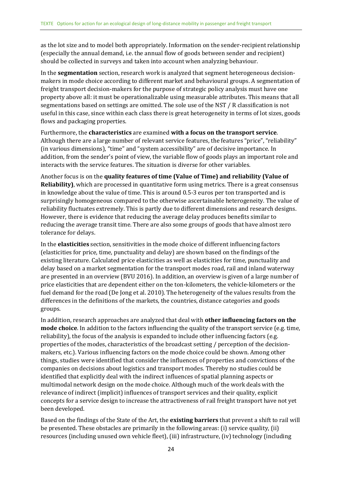as the lot size and to model both appropriately. Information on the sender-recipient relationship (especially the annual demand, i.e. the annual flow of goods between sender and recipient) should be collected in surveys and taken into account when analyzing behaviour.

In the **segmentation** section, research work is analyzed that segment heterogeneous decisionmakers in mode choice according to different market and behavioural groups. A segmentation of freight transport decision-makers for the purpose of strategic policy analysis must have one property above all: it must be operationalizable using measurable attributes. This means that all segmentations based on settings are omitted. The sole use of the NST / R classification is not useful in this case, since within each class there is great heterogeneity in terms of lot sizes, goods flows and packaging properties.

Furthermore, the **characteristics** are examined **with a focus on the transport service**. Although there are a large number of relevant service features, the features "price", "reliability" (in various dimensions), "time" and "system accessibility" are of decisive importance. In addition, from the sender's point of view, the variable flow of goods plays an important role and interacts with the service features. The situation is diverse for other variables.

Another focus is on the **quality features of time (Value of Time) and reliability (Value of Reliability)**, which are processed in quantitative form using metrics. There is a great consensus in knowledge about the value of time. This is around 0.5-3 euros per ton transported and is surprisingly homogeneous compared to the otherwise ascertainable heterogeneity. The value of reliability fluctuates extremely. This is partly due to different dimensions and research designs. However, there is evidence that reducing the average delay produces benefits similar to reducing the average transit time. There are also some groups of goods that have almost zero tolerance for delays.

In the **elasticities** section, sensitivities in the mode choice of different influencing factors (elasticities for price, time, punctuality and delay) are shown based on the findings of the existing literature. Calculated price elasticities as well as elasticities for time, punctuality and delay based on a market segmentation for the transport modes road, rail and inland waterway are presented in an overview (BVU 2016). In addition, an overview is given of a large number of price elasticities that are dependent either on the ton-kilometers, the vehicle-kilometers or the fuel demand for the road (De Jong et al. 2010). The heterogeneity of the values results from the differences in the definitions of the markets, the countries, distance categories and goods groups.

In addition, research approaches are analyzed that deal with **other influencing factors on the mode choice**. In addition to the factors influencing the quality of the transport service (e.g. time, reliability), the focus of the analysis is expanded to include other influencing factors (e.g. properties of the modes, characteristics of the broadcast setting / perception of the decisionmakers, etc.). Various influencing factors on the mode choice could be shown. Among other things, studies were identified that consider the influences of properties and convictions of the companies on decisions about logistics and transport modes. Thereby no studies could be identified that explicitly deal with the indirect influences of spatial planning aspects or multimodal network design on the mode choice. Although much of the work deals with the relevance of indirect (implicit) influences of transport services and their quality, explicit concepts for a service design to increase the attractiveness of rail freight transport have not yet been developed.

Based on the findings of the State of the Art, the **existing barriers** that prevent a shift to rail will be presented. These obstacles are primarily in the following areas: (i) service quality, (ii) resources (including unused own vehicle fleet), (iii) infrastructure, (iv) technology (including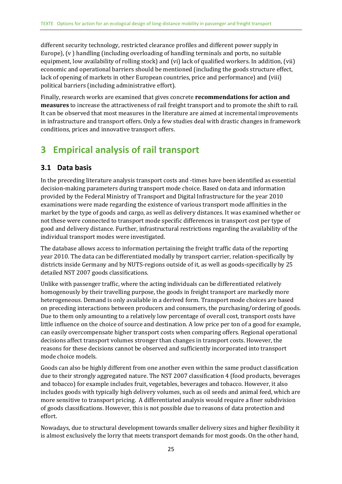different security technology, restricted clearance profiles and different power supply in Europe), (v ) handling (including overloading of handling terminals and ports, no suitable equipment, low availability of rolling stock) and (vi) lack of qualified workers. In addition, (vii) economic and operational barriers should be mentioned (including the goods structure effect, lack of opening of markets in other European countries, price and performance) and (viii) political barriers (including administrative effort).

Finally, research works are examined that gives concrete **recommendations for action and measures** to increase the attractiveness of rail freight transport and to promote the shift to rail. It can be observed that most measures in the literature are aimed at incremental improvements in infrastructure and transport offers. Only a few studies deal with drastic changes in framework conditions, prices and innovative transport offers.

# <span id="page-23-0"></span>**3 Empirical analysis of rail transport**

### <span id="page-23-1"></span>**3.1 Data basis**

In the preceding literature analysis transport costs and -times have been identified as essential decision-making parameters during transport mode choice. Based on data and information provided by the Federal Ministry of Transport and Digital Infrastructure for the year 2010 examinations were made regarding the existence of various transport mode affinities in the market by the type of goods and cargo, as well as delivery distances. It was examined whether or not these were connected to transport mode specific differences in transport cost per type of good and delivery distance. Further, infrastructural restrictions regarding the availability of the individual transport modes were investigated.

The database allows access to information pertaining the freight traffic data of the reporting year 2010. The data can be differentiated modally by transport carrier, relation-specifically by districts inside Germany and by NUTS-regions outside of it, as well as goods-specifically by 25 detailed NST 2007 goods classifications.

Unlike with passenger traffic, where the acting individuals can be differentiated relatively homogenously by their travelling purpose, the goods in freight transport are markedly more heterogeneous. Demand is only available in a derived form. Transport mode choices are based on preceding interactions between producers and consumers, the purchasing/ordering of goods. Due to them only amounting to a relatively low percentage of overall cost, transport costs have little influence on the choice of source and destination. A low price per ton of a good for example, can easily overcompensate higher transport costs when comparing offers. Regional operational decisions affect transport volumes stronger than changes in transport costs. However, the reasons for these decisions cannot be observed and sufficiently incorporated into transport mode choice models.

Goods can also be highly different from one another even within the same product classification due to their strongly aggregated nature. The NST 2007 classification 4 (food products, beverages and tobacco) for example includes fruit, vegetables, beverages and tobacco. However, it also includes goods with typically high delivery volumes, such as oil seeds and animal feed, which are more sensitive to transport pricing. A differentiated analysis would require a finer subdivision of goods classifications. However, this is not possible due to reasons of data protection and effort.

Nowadays, due to structural development towards smaller delivery sizes and higher flexibility it is almost exclusively the lorry that meets transport demands for most goods. On the other hand,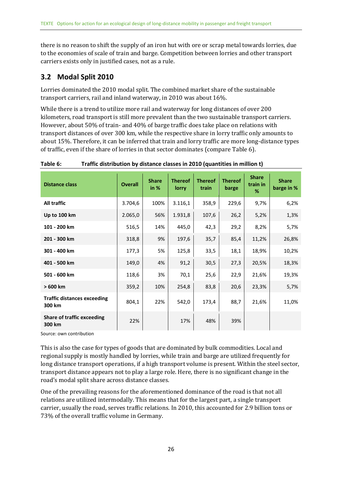there is no reason to shift the supply of an iron hut with ore or scrap metal towards lorries, due to the economies of scale of train and barge. Competition between lorries and other transport carriers exists only in justified cases, not as a rule.

### <span id="page-24-0"></span>**3.2 Modal Split 2010**

Lorries dominated the 2010 modal split. The combined market share of the sustainable transport carriers, rail and inland waterway, in 2010 was about 16%.

While there is a trend to utilize more rail and waterway for long distances of over 200 kilometers, road transport is still more prevalent than the two sustainable transport carriers. However, about 50% of train- and 40% of barge traffic does take place on relations with transport distances of over 300 km, while the respective share in lorry traffic only amounts to about 15%. Therefore, it can be inferred that train and lorry traffic are more long-distance types of traffic, even if the share of lorries in that sector dominates (compare [Table](#page-24-1) 6).

| <b>Distance class</b>                        | <b>Overall</b> | <b>Share</b><br>in $%$ | <b>Thereof</b><br>lorry | <b>Thereof</b><br>train | <b>Thereof</b><br>barge | <b>Share</b><br>train in<br>% | <b>Share</b><br>barge in % |
|----------------------------------------------|----------------|------------------------|-------------------------|-------------------------|-------------------------|-------------------------------|----------------------------|
| <b>All traffic</b>                           | 3.704,6        | 100%                   | 3.116,1                 | 358,9                   | 229,6                   | 9,7%                          | 6,2%                       |
| Up to 100 km                                 | 2.065,0        | 56%                    | 1.931,8                 | 107,6                   | 26,2                    | 5,2%                          | 1,3%                       |
| 101 - 200 km                                 | 516,5          | 14%                    | 445,0                   | 42,3                    | 29,2                    | 8,2%                          | 5,7%                       |
| 201 - 300 km                                 | 318,8          | 9%                     | 197,6                   | 35,7                    | 85,4                    | 11,2%                         | 26,8%                      |
| 301 - 400 km                                 | 177,3          | 5%                     | 125,8                   | 33,5                    | 18,1                    | 18,9%                         | 10,2%                      |
| 401 - 500 km                                 | 149,0          | 4%                     | 91,2                    | 30,5                    | 27,3                    | 20,5%                         | 18,3%                      |
| 501 - 600 km                                 | 118,6          | 3%                     | 70,1                    | 25,6                    | 22,9                    | 21,6%                         | 19,3%                      |
| $>600$ km                                    | 359,2          | 10%                    | 254,8                   | 83,8                    | 20,6                    | 23,3%                         | 5,7%                       |
| <b>Traffic distances exceeding</b><br>300 km | 804,1          | 22%                    | 542,0                   | 173,4                   | 88,7                    | 21,6%                         | 11,0%                      |
| <b>Share of traffic exceeding</b><br>300 km  | 22%            |                        | 17%                     | 48%                     | 39%                     |                               |                            |

<span id="page-24-1"></span>**Table 6: Traffic distribution by distance classes in 2010 (quantities in million t)**

Source: own contribution

This is also the case for types of goods that are dominated by bulk commodities. Local and regional supply is mostly handled by lorries, while train and barge are utilized frequently for long distance transport operations, if a high transport volume is present. Within the steel sector, transport distance appears not to play a large role. Here, there is no significant change in the road's modal split share across distance classes.

One of the prevailing reasons for the aforementioned dominance of the road is that not all relations are utilized intermodally. This means that for the largest part, a single transport carrier, usually the road, serves traffic relations. In 2010, this accounted for 2.9 billion tons or 73% of the overall traffic volume in Germany.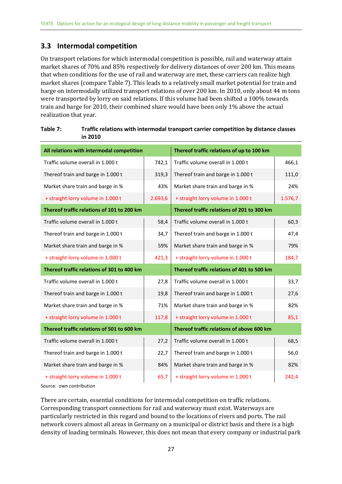### <span id="page-25-0"></span>**3.3 Intermodal competition**

On transport relations for which intermodal competition is possible, rail and waterway attain market shares of 70% and 85% respectively for delivery distances of over 200 km. This means that when conditions for the use of rail and waterway are met, these carriers can realize high market shares (compar[e Table](#page-25-1) 7). This leads to a relatively small market potential for train and barge on intermodally utilized transport relations of over 200 km. In 2010, only about 44 m tons were transported by lorry on said relations. If this volume had been shifted a 100% towards train and barge for 2010, their combined share would have been only 1% above the actual realization that year.

| All relations with intermodal competition  |         | Thereof traffic relations of up to 100 km  |         |
|--------------------------------------------|---------|--------------------------------------------|---------|
| Traffic volume overall in 1.000 t          | 742,1   | Traffic volume overall in 1.000 t          | 466,1   |
| Thereof train and barge in 1.000 t         | 319,3   | Thereof train and barge in 1.000 t         | 111,0   |
| Market share train and barge in %          | 43%     | Market share train and barge in %          | 24%     |
| + straight lorry volume in 1.000 t         | 2.693,6 | + straight lorry volume in 1.000 t         | 1.576,7 |
| Thereof traffic relations of 101 to 200 km |         | Thereof traffic relations of 201 to 300 km |         |
| Traffic volume overall in 1.000 t          | 58,4    | Traffic volume overall in 1.000 t          | 60,3    |
| Thereof train and barge in 1.000 t         | 34,7    | Thereof train and barge in 1.000 t         | 47,4    |
| Market share train and barge in %          | 59%     | Market share train and barge in %          | 79%     |
| + straight lorry volume in 1.000 t         | 421,3   | + straight lorry volume in 1.000 t         | 184,7   |
|                                            |         |                                            |         |
| Thereof traffic relations of 301 to 400 km |         | Thereof traffic relations of 401 to 500 km |         |
| Traffic volume overall in 1.000 t          | 27,8    | Traffic volume overall in 1.000 t          | 33,7    |
| Thereof train and barge in 1.000 t         | 19,8    | Thereof train and barge in 1.000 t         | 27,6    |
| Market share train and barge in %          | 71%     | Market share train and barge in %          | 82%     |
| + straight lorry volume in 1.000 t         | 117,8   | + straight lorry volume in 1.000 t         | 85,1    |
| Thereof traffic relations of 501 to 600 km |         | Thereof traffic relations of above 600 km  |         |
| Traffic volume overall in 1.000 t          | 27,2    | Traffic volume overall in 1.000 t          | 68,5    |
| Thereof train and barge in 1.000 t         | 22,7    | Thereof train and barge in 1.000 t         | 56,0    |
| Market share train and barge in %          | 84%     | Market share train and barge in %          | 82%     |

### <span id="page-25-1"></span>**Table 7: Traffic relations with intermodal transport carrier competition by distance classes in 2010**

Source: own contribution

There are certain, essential conditions for intermodal competition on traffic relations. Corresponding transport connections for rail and waterway must exist. Waterways are particularly restricted in this regard and bound to the locations of rivers and ports. The rail network covers almost all areas in Germany on a municipal or district basis and there is a high density of loading terminals. However, this does not mean that every company or industrial park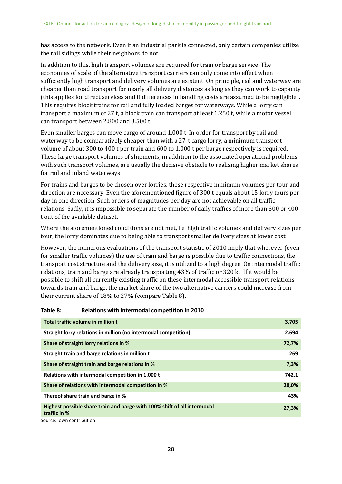has access to the network. Even if an industrial park is connected, only certain companies utilize the rail sidings while their neighbors do not.

In addition to this, high transport volumes are required for train or barge service. The economies of scale of the alternative transport carriers can only come into effect when sufficiently high transport and delivery volumes are existent. On principle, rail and waterway are cheaper than road transport for nearly all delivery distances as long as they can work to capacity (this applies for direct services and if differences in handling costs are assumed to be negligible). This requires block trains for rail and fully loaded barges for waterways. While a lorry can transport a maximum of 27 t, a block train can transport at least 1.250 t, while a motor vessel can transport between 2.800 and 3.500 t.

Even smaller barges can move cargo of around 1.000 t. In order for transport by rail and waterway to be comparatively cheaper than with a 27-t cargo lorry, a minimum transport volume of about 300 to 400 t per train and 600 to 1.000 t per barge respectively is required. These large transport volumes of shipments, in addition to the associated operational problems with such transport volumes, are usually the decisive obstacle to realizing higher market shares for rail and inland waterways.

For trains and barges to be chosen over lorries, these respective minimum volumes per tour and direction are necessary. Even the aforementioned figure of 300 t equals about 15 lorry tours per day in one direction. Such orders of magnitudes per day are not achievable on all traffic relations. Sadly, it is impossible to separate the number of daily traffics of more than 300 or 400 t out of the available dataset.

Where the aforementioned conditions are not met, i.e. high traffic volumes and delivery sizes per tour, the lorry dominates due to being able to transport smaller delivery sizes at lower cost.

However, the numerous evaluations of the transport statistic of 2010 imply that wherever (even for smaller traffic volumes) the use of train and barge is possible due to traffic connections, the transport cost structure and the delivery size, it is utilized to a high degree. On intermodal traffic relations, train and barge are already transporting 43% of traffic or 320 kt. If it would be possible to shift all currently existing traffic on these intermodal accessible transport relations towards train and barge, the market share of the two alternative carriers could increase from their current share of 18% to 27% (compar[e Table 8\)](#page-26-0).

| Total traffic volume in million t                                                        | 3.705 |
|------------------------------------------------------------------------------------------|-------|
| Straight lorry relations in million (no intermodal competition)                          | 2.694 |
| Share of straight lorry relations in %                                                   | 72,7% |
| Straight train and barge relations in million t                                          | 269   |
| Share of straight train and barge relations in %                                         | 7,3%  |
| Relations with intermodal competition in 1.000 t                                         | 742,1 |
| Share of relations with intermodal competition in %                                      | 20,0% |
| Thereof share train and barge in %                                                       | 43%   |
| Highest possible share train and barge with 100% shift of all intermodal<br>traffic in % | 27,3% |

#### <span id="page-26-0"></span>**Table 8: Relations with intermodal competition in 2010**

Source: own contribution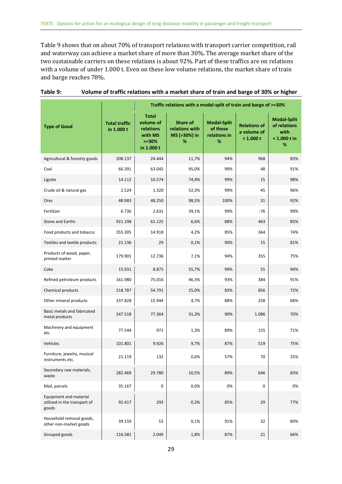[Table 9](#page-27-0) shows that on about 70% of transport relations with transport carrier competition, rail and waterway can achieve a market share of more than 30%. The average market share of the two sustainable carriers on these relations is about 92%. Part of these traffics are on relations with a volume of under 1.000 t. Even on these low volume relations, the market share of train and barge reaches 78%.

|                                                                 |                                    |                                                                            | Traffic relations with a modal-split of train and barge of >=30% |                                                     |                                                 |                                                                 |
|-----------------------------------------------------------------|------------------------------------|----------------------------------------------------------------------------|------------------------------------------------------------------|-----------------------------------------------------|-------------------------------------------------|-----------------------------------------------------------------|
| <b>Type of Good</b>                                             | <b>Total traffic</b><br>in 1.000 t | <b>Total</b><br>volume of<br>relations<br>with MS<br>$>=30%$<br>in 1.000 t | Share of<br>relations with<br>MS (>30%) in<br>%                  | <b>Modal-Split</b><br>of those<br>relations in<br>% | <b>Relations of</b><br>a volume of<br>< 1.000 t | <b>Modal-Split</b><br>of relations<br>with<br>< 1.000 t in<br>% |
| Agricultural & forestry goods                                   | 208.137                            | 24.444                                                                     | 11,7%                                                            | 94%                                                 | 968                                             | 83%                                                             |
| Coal                                                            | 66.391                             | 63.045                                                                     | 95,0%                                                            | 99%                                                 | 48                                              | 91%                                                             |
| Lignite                                                         | 14.112                             | 10.574                                                                     | 74,9%                                                            | 99%                                                 | 15                                              | 98%                                                             |
| Crude oil & natural gas                                         | 2.524                              | 1.320                                                                      | 52,3%                                                            | 99%                                                 | 45                                              | 96%                                                             |
| Ores                                                            | 48.983                             | 48.250                                                                     | 98,5%                                                            | 100%                                                | 31                                              | 92%                                                             |
| Fertilizer                                                      | 6.736                              | 2.631                                                                      | 39,1%                                                            | 99%                                                 | $-76$                                           | 99%                                                             |
| <b>Stone and Earths</b>                                         | 921.198                            | 61.125                                                                     | 6,6%                                                             | 88%                                                 | 463                                             | 85%                                                             |
| Food products and tobacco                                       | 355.305                            | 14.918                                                                     | 4,2%                                                             | 85%                                                 | 364                                             | 74%                                                             |
| Textiles and textile products                                   | 21.136                             | 29                                                                         | 0,1%                                                             | 90%                                                 | 15                                              | 81%                                                             |
| Products of wood, paper,<br>printed matter                      | 179.901                            | 12.736                                                                     | 7,1%                                                             | 94%                                                 | 355                                             | 75%                                                             |
| Coke                                                            | 15.931                             | 8.875                                                                      | 55,7%                                                            | 99%                                                 | 55                                              | 94%                                                             |
| Refined petroleum products                                      | 161.980                            | 75.016                                                                     | 46,3%                                                            | 93%                                                 | 384                                             | 91%                                                             |
| Chemical products                                               | 218.787                            | 54.791                                                                     | 25,0%                                                            | 83%                                                 | 856                                             | 72%                                                             |
| Other mineral products                                          | 337.828                            | 15.944                                                                     | 4,7%                                                             | 88%                                                 | 258                                             | 68%                                                             |
| Basic metals and fabricated<br>metal products                   | 247.518                            | 77.364                                                                     | 31,3%                                                            | 90%                                                 | 1.086                                           | 70%                                                             |
| Machinery and equipment<br>etc.                                 | 77.544                             | 971                                                                        | 1,3%                                                             | 89%                                                 | 155                                             | 71%                                                             |
| Vehicles                                                        | 101.801                            | 9.926                                                                      | 9,7%                                                             | 87%                                                 | 519                                             | 75%                                                             |
| Furniture, jewelry, musical<br>instruments etc.                 | 21.119                             | 132                                                                        | 0,6%                                                             | 57%                                                 | 70                                              | 25%                                                             |
| Secondary raw materials,<br>waste                               | 282.469                            | 29.780                                                                     | 10,5%                                                            | 89%                                                 | 646                                             | 83%                                                             |
| Mail, parcels                                                   | 35.167                             | 0                                                                          | 0,0%                                                             | 0%                                                  | 0                                               | 0%                                                              |
| Equipment and material<br>utilized in the transport of<br>goods | 92.417                             | 293                                                                        | 0,3%                                                             | 85%                                                 | 29                                              | 77%                                                             |
| Household removal goods,<br>other non-market goods              | 39.159                             | 53                                                                         | 0,1%                                                             | 91%                                                 | 32                                              | 89%                                                             |
| Grouped goods                                                   | 116.581                            | 2.049                                                                      | 1,8%                                                             | 87%                                                 | 21                                              | 66%                                                             |

#### <span id="page-27-0"></span>**Table 9: Volume of traffic relations with a market share of train and barge of 30% or higher**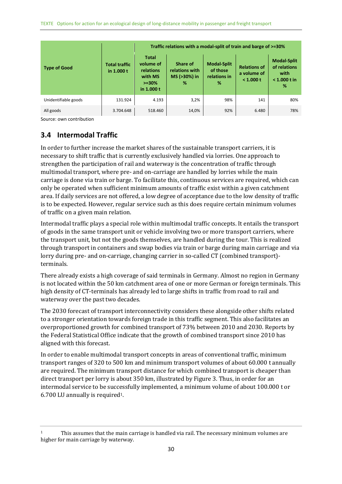|                      |                                     | Traffic relations with a modal-split of train and barge of >=30%                |                                                 |                                                     |                                                 |                                                                   |  |  |  |  |
|----------------------|-------------------------------------|---------------------------------------------------------------------------------|-------------------------------------------------|-----------------------------------------------------|-------------------------------------------------|-------------------------------------------------------------------|--|--|--|--|
| <b>Type of Good</b>  | <b>Total traffic</b><br>in $1.000t$ | <b>Total</b><br>volume of<br>relations<br>with MS<br>$> = 30\%$<br>in $1.000 t$ | Share of<br>relations with<br>MS (>30%) in<br>% | <b>Modal-Split</b><br>of those<br>relations in<br>% | <b>Relations of</b><br>a volume of<br>< 1.000 t | <b>Modal-Split</b><br>of relations<br>with<br>$< 1.000 t$ in<br>% |  |  |  |  |
| Unidentifiable goods | 131.924                             | 4.193                                                                           | 3,2%                                            | 98%                                                 | 141                                             | 80%                                                               |  |  |  |  |
| All goods            | 3.704.648                           | 518.460                                                                         | 14,0%                                           | 92%                                                 | 6.480                                           | 78%                                                               |  |  |  |  |

### <span id="page-28-0"></span>**3.4 Intermodal Traffic**

In order to further increase the market shares of the sustainable transport carriers, it is necessary to shift traffic that is currently exclusively handled via lorries. One approach to strengthen the participation of rail and waterway is the concentration of traffic through multimodal transport, where pre- and on-carriage are handled by lorries while the main carriage is done via train or barge. To facilitate this, continuous services are required, which can only be operated when sufficient minimum amounts of traffic exist within a given catchment area. If daily services are not offered, a low degree of acceptance due to the low density of traffic is to be expected. However, regular service such as this does require certain minimum volumes of traffic on a given main relation.

Intermodal traffic plays a special role within multimodal traffic concepts. It entails the transport of goods in the same transport unit or vehicle involving two or more transport carriers, where the transport unit, but not the goods themselves, are handled during the tour. This is realized through transport in containers and swap bodies via train or barge during main carriage and via lorry during pre- and on-carriage, changing carrier in so-called CT (combined transport) terminals.

There already exists a high coverage of said terminals in Germany. Almost no region in Germany is not located within the 50 km catchment area of one or more German or foreign terminals. This high density of CT-terminals has already led to large shifts in traffic from road to rail and waterway over the past two decades.

The 2030 forecast of transport interconnectivity considers these alongside other shifts related to a stronger orientation towards foreign trade in this traffic segment. This also facilitates an overproportioned growth for combined transport of 73% between 2010 and 2030. Reports by the Federal Statistical Office indicate that the growth of combined transport since 2010 has aligned with this forecast.

In order to enable multimodal transport concepts in areas of conventional traffic, minimum transport ranges of 320 to 500 km and minimum transport volumes of about 60.000 t annually are required. The minimum transport distance for which combined transport is cheaper than direct transport per lorry is about 350 km, illustrated b[y Figure](#page-29-0) 3. Thus, in order for an intermodal service to be successfully implemented, a minimum volume of about 100.000 t or 6.700 LU annually is required1.

<sup>&</sup>lt;sup>1</sup> This assumes that the main carriage is handled via rail. The necessary minimum volumes are higher for main carriage by waterway.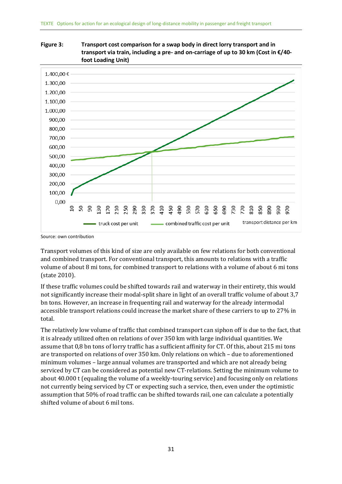

<span id="page-29-0"></span>**Figure 3: Transport cost comparison for a swap body in direct lorry transport and in transport via train, including a pre- and on-carriage of up to 30 km (Cost in €/40 foot Loading Unit)**

Transport volumes of this kind of size are only available on few relations for both conventional and combined transport. For conventional transport, this amounts to relations with a traffic volume of about 8 mi tons, for combined transport to relations with a volume of about 6 mi tons (state 2010).

If these traffic volumes could be shifted towards rail and waterway in their entirety, this would not significantly increase their modal-split share in light of an overall traffic volume of about 3,7 bn tons. However, an increase in frequenting rail and waterway for the already intermodal accessible transport relations could increase the market share of these carriers to up to 27% in total.

The relatively low volume of traffic that combined transport can siphon off is due to the fact, that it is already utilized often on relations of over 350 km with large individual quantities. We assume that 0,8 bn tons of lorry traffic has a sufficient affinity for CT. Of this, about 215 mi tons are transported on relations of over 350 km. Only relations on which – due to aforementioned minimum volumes – large annual volumes are transported and which are not already being serviced by CT can be considered as potential new CT-relations. Setting the minimum volume to about 40.000 t (equaling the volume of a weekly-touring service) and focusing only on relations not currently being serviced by CT or expecting such a service, then, even under the optimistic assumption that 50% of road traffic can be shifted towards rail, one can calculate a potentially shifted volume of about 6 mil tons.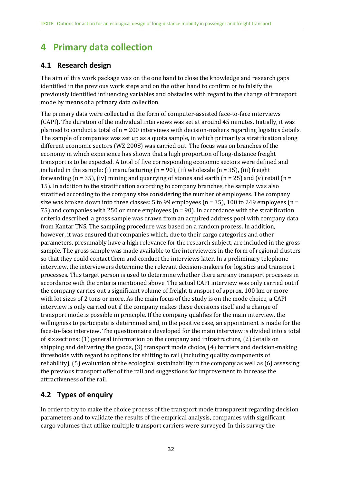# <span id="page-30-0"></span>**4 Primary data collection**

### <span id="page-30-1"></span>**4.1 Research design**

The aim of this work package was on the one hand to close the knowledge and research gaps identified in the previous work steps and on the other hand to confirm or to falsify the previously identified influencing variables and obstacles with regard to the change of transport mode by means of a primary data collection.

The primary data were collected in the form of computer-assisted face-to-face interviews (CAPI). The duration of the individual interviews was set at around 45 minutes. Initially, it was planned to conduct a total of n = 200 interviews with decision-makers regarding logistics details. The sample of companies was set up as a quota sample, in which primarily a stratification along different economic sectors (WZ 2008) was carried out. The focus was on branches of the economy in which experience has shown that a high proportion of long-distance freight transport is to be expected. A total of five corresponding economic sectors were defined and included in the sample: (i) manufacturing  $(n = 90)$ , (ii) wholesale  $(n = 35)$ , (iii) freight forwarding (n = 35), (iv) mining and quarrying of stones and earth (n = 25) and (v) retail (n = 15). In addition to the stratification according to company branches, the sample was also stratified according to the company size considering the number of employees. The company size was broken down into three classes: 5 to 99 employees ( $n = 35$ ), 100 to 249 employees ( $n =$ 75) and companies with 250 or more employees (n = 90). In accordance with the stratification criteria described, a gross sample was drawn from an acquired address pool with company data from Kantar TNS. The sampling procedure was based on a random process. In addition, however, it was ensured that companies which, due to their cargo categories and other parameters, presumably have a high relevance for the research subject, are included in the gross sample. The gross sample was made available to the interviewers in the form of regional clusters so that they could contact them and conduct the interviews later. In a preliminary telephone interview, the interviewers determine the relevant decision-makers for logistics and transport processes. This target person is used to determine whether there are any transport processes in accordance with the criteria mentioned above. The actual CAPI interview was only carried out if the company carries out a significant volume of freight transport of approx. 100 km or more with lot sizes of 2 tons or more. As the main focus of the study is on the mode choice, a CAPI interview is only carried out if the company makes these decisions itself and a change of transport mode is possible in principle. If the company qualifies for the main interview, the willingness to participate is determined and, in the positive case, an appointment is made for the face-to-face interview. The questionnaire developed for the main interview is divided into a total of six sections: (1) general information on the company and infrastructure, (2) details on shipping and delivering the goods, (3) transport mode choice, (4) barriers and decision-making thresholds with regard to options for shifting to rail (including quality components of reliability), (5) evaluation of the ecological sustainability in the company as well as (6) assessing the previous transport offer of the rail and suggestions for improvement to increase the attractiveness of the rail.

### <span id="page-30-2"></span>**4.2 Types of enquiry**

In order to try to make the choice process of the transport mode transparent regarding decision parameters and to validate the results of the empirical analysis, companies with significant cargo volumes that utilize multiple transport carriers were surveyed. In this survey the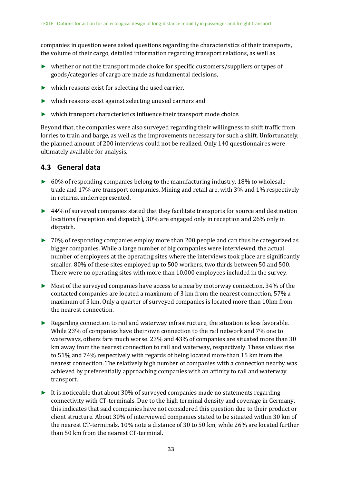companies in question were asked questions regarding the characteristics of their transports, the volume of their cargo, detailed information regarding transport relations, as well as

- ► whether or not the transport mode choice for specific customers/suppliers or types of goods/categories of cargo are made as fundamental decisions,
- ► which reasons exist for selecting the used carrier,
- ► which reasons exist against selecting unused carriers and
- $\triangleright$  which transport characteristics influence their transport mode choice.

Beyond that, the companies were also surveyed regarding their willingness to shift traffic from lorries to train and barge, as well as the improvements necessary for such a shift. Unfortunately, the planned amount of 200 interviews could not be realized. Only 140 questionnaires were ultimately available for analysis.

### <span id="page-31-0"></span>**4.3 General data**

- $\triangleright$  60% of responding companies belong to the manufacturing industry, 18% to wholesale trade and 17% are transport companies. Mining and retail are, with 3% and 1% respectively in returns, underrepresented.
- ► 44% of surveyed companies stated that they facilitate transports for source and destination locations (reception and dispatch), 30% are engaged only in reception and 26% only in dispatch.
- ► 70% of responding companies employ more than 200 people and can thus be categorized as bigger companies. While a large number of big companies were interviewed, the actual number of employees at the operating sites where the interviews took place are significantly smaller. 80% of these sites employed up to 500 workers, two thirds between 50 and 500. There were no operating sites with more than 10.000 employees included in the survey.
- ► Most of the surveyed companies have access to a nearby motorway connection. 34% of the contacted companies are located a maximum of 3 km from the nearest connection, 57% a maximum of 5 km. Only a quarter of surveyed companies is located more than 10km from the nearest connection.
- ► Regarding connection to rail and waterway infrastructure, the situation is less favorable. While 23% of companies have their own connection to the rail network and 7% one to waterways, others fare much worse. 23% and 43% of companies are situated more than 30 km away from the nearest connection to rail and waterway, respectively. These values rise to 51% and 74% respectively with regards of being located more than 15 km from the nearest connection. The relatively high number of companies with a connection nearby was achieved by preferentially approaching companies with an affinity to rail and waterway transport.
- $\blacktriangleright$  It is noticeable that about 30% of surveyed companies made no statements regarding connectivity with CT-terminals. Due to the high terminal density and coverage in Germany, this indicates that said companies have not considered this question due to their product or client structure. About 30% of interviewed companies stated to be situated within 30 km of the nearest CT-terminals. 10% note a distance of 30 to 50 km, while 26% are located further than 50 km from the nearest CT-terminal.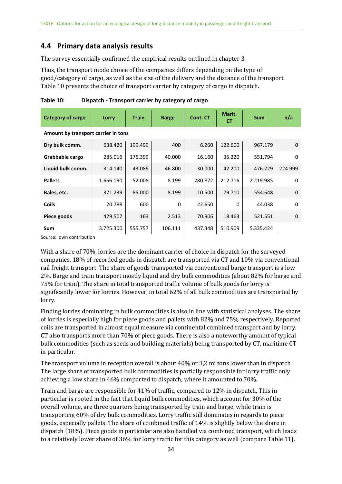### <span id="page-32-0"></span>**4.4 Primary data analysis results**

The survey essentially confirmed the empirical results outlined in chapte[r 3.](#page-23-0)

Thus, the transport mode choice of the companies differs depending on the type of good/category of cargo, as well as the size of the delivery and the distance of the transport. [Table 10](#page-32-1) presents the choice of transport carrier by category of cargo in dispatch.

| Category of cargo                   | Lorry     | <b>Train</b> | <b>Barge</b> | Cont. CT | Marit.<br>СT | <b>Sum</b> | n/a         |  |  |
|-------------------------------------|-----------|--------------|--------------|----------|--------------|------------|-------------|--|--|
| Amount by transport carrier in tons |           |              |              |          |              |            |             |  |  |
| Dry bulk comm.                      | 638.420   | 199.499      | 400          | 6.260    | 122.600      | 967.179    | $\mathbf 0$ |  |  |
| Grabbable cargo                     | 285.016   | 175.399      | 40.000       | 16.160   | 35.220       | 551.794    | 0           |  |  |
| Liquid bulk comm.                   | 314.140   | 43.089       | 46.800       | 30.000   | 42.200       | 476.229    | 224.999     |  |  |
| <b>Pallets</b>                      | 1.666.190 | 52.008       | 8.199        | 280.872  | 212.716      | 2.219.985  | 0           |  |  |
| Bales, etc.                         | 371.239   | 85.000       | 8.199        | 10.500   | 79.710       | 554.648    | $\mathbf 0$ |  |  |
| <b>Coils</b>                        | 20.788    | 600          | $\Omega$     | 22.650   | $\Omega$     | 44.038     | $\Omega$    |  |  |
| Piece goods                         | 429.507   | 163          | 2.513        | 70.906   | 18.463       | 521.551    | $\mathbf 0$ |  |  |
| Sum                                 | 3.725.300 | 555.757      | 106.111      | 437.348  | 510.909      | 5.335.424  |             |  |  |

<span id="page-32-1"></span>**Table 10: Dispatch - Transport carrier by category of cargo**

Source: own contribution

With a share of 70%, lorries are the dominant carrier of choice in dispatch for the surveyed companies. 18% of recorded goods in dispatch are transported via CT and 10% via conventional rail freight transport. The share of goods transported via conventional barge transport is a low 2%. Barge and train transport mostly liquid and dry bulk commodities (about 82% for barge and 75% for train). The share in total transported traffic volume of bulk goods for lorry is significantly lower for lorries. However, in total 62% of all bulk commodities are transported by lorry.

Finding lorries dominating in bulk commodities is also in line with statistical analyses. The share of lorries is especially high for piece goods and pallets with 82% and 75% respectively. Reported coils are transported in almost equal measure via continental combined transport and by lorry. CT also transports more than 70% of piece goods. There is also a noteworthy amount of typical bulk commodities (such as seeds and building materials) being transported by CT, maritime CT in particular.

The transport volume in reception overall is about 40% or 3,2 mi tons lower than in dispatch. The large share of transported bulk commodities is partially responsible for lorry traffic only achieving a low share in 46% comparted to dispatch, where it amounted to 70%.

Train and barge are responsible for 41% of traffic, compared to 12% in dispatch. This in particular is rooted in the fact that liquid bulk commodities, which account for 30% of the overall volume, are three quarters being transported by train and barge, while train is transporting 60% of dry bulk commodities. Lorry traffic still dominates in regards to piece goods, especially pallets. The share of combined traffic of 14% is slightly below the share in dispatch (18%). Piece goods in particular are also handled via combined transport, which leads to a relatively lower share of 36% for lorry traffic for this category as well (compare [Table 11\)](#page-33-0).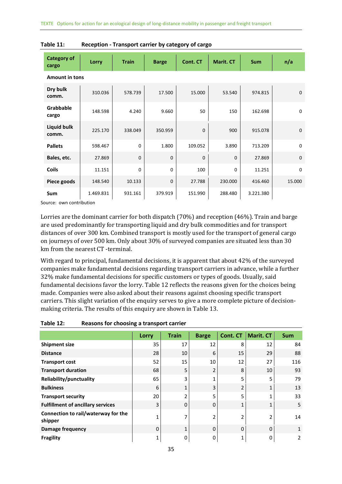| <b>Category of</b><br>cargo | Lorry     | <b>Train</b> | <b>Barge</b> | Cont. CT    | <b>Marit. CT</b> | <b>Sum</b> | n/a         |
|-----------------------------|-----------|--------------|--------------|-------------|------------------|------------|-------------|
| <b>Amount in tons</b>       |           |              |              |             |                  |            |             |
| Dry bulk<br>comm.           | 310.036   | 578.739      | 17.500       | 15.000      | 53.540           | 974.815    | $\mathbf 0$ |
| Grabbable<br>cargo          | 148.598   | 4.240        | 9.660        | 50          | 150              | 162.698    | $\mathbf 0$ |
| <b>Liquid bulk</b><br>comm. | 225.170   | 338.049      | 350.959      | $\mathbf 0$ | 900              | 915.078    | $\pmb{0}$   |
| <b>Pallets</b>              | 598.467   | $\Omega$     | 1.800        | 109.052     | 3.890            | 713.209    | $\pmb{0}$   |
| Bales, etc.                 | 27.869    | $\Omega$     | $\mathbf 0$  | $\mathbf 0$ | $\mathbf 0$      | 27.869     | $\mathbf 0$ |
| <b>Coils</b>                | 11.151    | $\Omega$     | 0            | 100         | 0                | 11.251     | $\mathbf 0$ |
| Piece goods                 | 148.540   | 10.133       | $\mathbf 0$  | 27.788      | 230.000          | 416.460    | 15.000      |
| <b>Sum</b>                  | 1.469.831 | 931.161      | 379.919      | 151.990     | 288.480          | 3.221.380  |             |

<span id="page-33-0"></span>

| Table 11: |  | Reception - Transport carrier by category of cargo |  |  |
|-----------|--|----------------------------------------------------|--|--|
|-----------|--|----------------------------------------------------|--|--|

Lorries are the dominant carrier for both dispatch (70%) and reception (46%). Train and barge are used predominantly for transporting liquid and dry bulk commodities and for transport distances of over 300 km. Combined transport is mostly used for the transport of general cargo on journeys of over 500 km. Only about 30% of surveyed companies are situated less than 30 km from the nearest CT -terminal.

With regard to principal, fundamental decisions, it is apparent that about 42% of the surveyed companies make fundamental decisions regarding transport carriers in advance, while a further 32% make fundamental decisions for specific customers or types of goods. Usually, said fundamental decisions favor the lorry. [Table 12](#page-33-1) reflects the reasons given for the choices being made. Companies were also asked about their reasons against choosing specific transport carriers. This slight variation of the enquiry serves to give a more complete picture of decisionmaking criteria. The results of this enquiry are shown in [Table 13.](#page-34-0)

|                                                | Lorry    | <b>Train</b> | <b>Barge</b> | Cont. CT       | <b>Marit. CT</b> | <b>Sum</b>   |
|------------------------------------------------|----------|--------------|--------------|----------------|------------------|--------------|
|                                                |          |              |              |                |                  |              |
| <b>Shipment size</b>                           | 35       | 17           | 12           | 8              | 12               | 84           |
| <b>Distance</b>                                | 28       | 10           | 6            | 15             | 29               | 88           |
| <b>Transport cost</b>                          | 52       | 15           | 10           | 12             | 27               | 116          |
| <b>Transport duration</b>                      | 68       | 5            | 2            | 8              | 10               | 93           |
| Reliability/punctuality                        | 65       | 3            |              | 5              | 5                | 79           |
| <b>Bulkiness</b>                               | 6        | 1            | 3            | $\overline{2}$ | $\mathbf{1}$     | 13           |
| <b>Transport security</b>                      | 20       | ำ            | 5            | 5              |                  | 33           |
| <b>Fulfillment of ancillary services</b>       | 3        | $\Omega$     | 0            | 1              | 1                | 5            |
| Connection to rail/waterway for the<br>shipper |          | 7            |              | 2              | $\mathcal{P}$    | 14           |
| Damage frequency                               | $\Omega$ | 1            | 0            | 0              | 0                | $\mathbf{1}$ |
| <b>Fragility</b>                               |          | 0            | 0            | 1              | 0                | 2            |

<span id="page-33-1"></span>

| Table 12: | Reasons for choosing a transport carrier |  |
|-----------|------------------------------------------|--|
|-----------|------------------------------------------|--|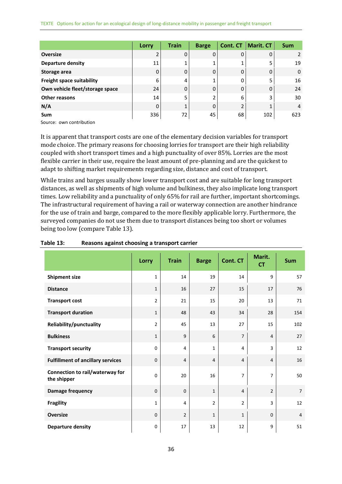|                                                         | Lorry | <b>Train</b> | <b>Barge</b> | Cont. CT | <b>Marit. CT</b> | <b>Sum</b>     |
|---------------------------------------------------------|-------|--------------|--------------|----------|------------------|----------------|
| <b>Oversize</b>                                         |       | 0            | 0            | 0        | 0                | 2              |
| <b>Departure density</b>                                | 11    |              |              |          | 5                | 19             |
| Storage area                                            |       | 0            | 0            | 0        | 0                | $\mathbf 0$    |
| Freight space suitability                               | 6     | 4            |              | 0        | 5                | 16             |
| Own vehicle fleet/storage space                         | 24    | 0            | 0            | 0        | 0                | 24             |
| Other reasons                                           | 14    | 5            |              | 6        | 3                | 30             |
| N/A                                                     | 0     |              | 0            |          |                  | $\overline{4}$ |
| <b>Sum</b><br>$\sim$ $\sim$ $\sim$ $\sim$ $\sim$ $\sim$ | 336   | 72           | 45           | 68       | 102              | 623            |

It is apparent that transport costs are one of the elementary decision variables for transport mode choice. The primary reasons for choosing lorries for transport are their high reliability coupled with short transport times and a high punctuality of over 85%. Lorries are the most flexible carrier in their use, require the least amount of pre-planning and are the quickest to adapt to shifting market requirements regarding size, distance and cost of transport.

While trains and barges usually show lower transport cost and are suitable for long transport distances, as well as shipments of high volume and bulkiness, they also implicate long transport times. Low reliability and a punctuality of only 65% for rail are further, important shortcomings. The infrastructural requirement of having a rail or waterway connection are another hindrance for the use of train and barge, compared to the more flexibly applicable lorry. Furthermore, the surveyed companies do not use them due to transport distances being too short or volumes being too low (compare [Table 13\)](#page-34-0).

|                                                | Lorry          | <b>Train</b>   | <b>Barge</b>   | <b>Cont. CT</b> | Marit.<br><b>CT</b> | <b>Sum</b>     |
|------------------------------------------------|----------------|----------------|----------------|-----------------|---------------------|----------------|
| <b>Shipment size</b>                           | $\mathbf{1}$   | 14             | 19             | 14              | $\mathsf{q}$        | 57             |
| <b>Distance</b>                                | $\mathbf{1}$   | 16             | 27             | 15              | 17                  | 76             |
| <b>Transport cost</b>                          | $\overline{2}$ | 21             | 15             | 20              | 13                  | 71             |
| <b>Transport duration</b>                      | $\mathbf{1}$   | 48             | 43             | 34              | 28                  | 154            |
| Reliability/punctuality                        | $\overline{2}$ | 45             | 13             | 27              | 15                  | 102            |
| <b>Bulkiness</b>                               | $\mathbf{1}$   | $\overline{9}$ | 6              | $\overline{7}$  | $\overline{4}$      | 27             |
| <b>Transport security</b>                      | 0              | 4              | $\mathbf{1}$   | 4               | 3                   | 12             |
| <b>Fulfillment of ancillary services</b>       | $\mathbf 0$    | $\overline{4}$ | $\overline{4}$ | $\overline{4}$  | $\overline{4}$      | 16             |
| Connection to rail/waterway for<br>the shipper | 0              | 20             | 16             | 7               | $\overline{7}$      | 50             |
| <b>Damage frequency</b>                        | $\mathbf 0$    | $\mathbf 0$    | $\mathbf{1}$   | $\overline{4}$  | $\overline{2}$      | $\overline{7}$ |
| <b>Fragility</b>                               | $\mathbf{1}$   | 4              | $\overline{2}$ | $\overline{2}$  | $\overline{3}$      | 12             |
| <b>Oversize</b>                                | $\mathbf 0$    | $\overline{2}$ | $\mathbf{1}$   | $\mathbf{1}$    | $\Omega$            | $\overline{4}$ |
| <b>Departure density</b>                       | $\mathbf 0$    | 17             | 13             | 12              | 9                   | 51             |

#### <span id="page-34-0"></span>**Table 13: Reasons against choosing a transport carrier**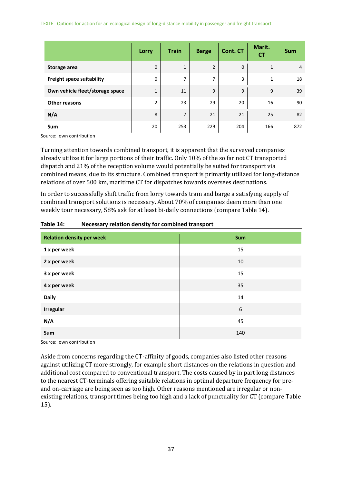|                                 | Lorry          | <b>Train</b>   | <b>Barge</b>   | <b>Cont. CT</b> | Marit.<br><b>CT</b> | <b>Sum</b>     |
|---------------------------------|----------------|----------------|----------------|-----------------|---------------------|----------------|
| Storage area                    | 0              | $\mathbf{1}$   | $\overline{2}$ | 0               | 1                   | $\overline{4}$ |
| Freight space suitability       | 0              | 7              | 7              | 3               | 1                   | 18             |
| Own vehicle fleet/storage space | $\mathbf 1$    | 11             | 9              | 9               | 9                   | 39             |
| <b>Other reasons</b>            | $\overline{2}$ | 23             | 29             | 20              | 16                  | 90             |
| N/A                             | 8              | $\overline{7}$ | 21             | 21              | 25                  | 82             |
| Sum                             | 20             | 253            | 229            | 204             | 166                 | 872            |

Turning attention towards combined transport, it is apparent that the surveyed companies already utilize it for large portions of their traffic. Only 10% of the so far not CT transported dispatch and 21% of the reception volume would potentially be suited for transport via combined means, due to its structure. Combined transport is primarily utilized for long-distance relations of over 500 km, maritime CT for dispatches towards oversees destinations.

In order to successfully shift traffic from lorry towards train and barge a satisfying supply of combined transport solutions is necessary. About 70% of companies deem more than one weekly tour necessary, 58% ask for at least bi-daily connections (compare [Table 14\)](#page-35-0).

| <b>Relation density per week</b> | Sum |
|----------------------------------|-----|
| 1 x per week                     | 15  |
| 2 x per week                     | 10  |
| 3 x per week                     | 15  |
| 4 x per week                     | 35  |
| <b>Daily</b>                     | 14  |
| <b>Irregular</b>                 | 6   |
| N/A                              | 45  |
| Sum                              | 140 |

<span id="page-35-0"></span>**Table 14: Necessary relation density for combined transport**

Source: own contribution

Aside from concerns regarding the CT-affinity of goods, companies also listed other reasons against utilizing CT more strongly, for example short distances on the relations in question and additional cost compared to conventional transport. The costs caused by in part long distances to the nearest CT-terminals offering suitable relations in optimal departure frequency for preand on-carriage are being seen as too high. Other reasons mentioned are irregular or nonexisting relations, transport times being too high and a lack of punctuality for CT (compar[e Table](#page-36-0)  [15\)](#page-36-0).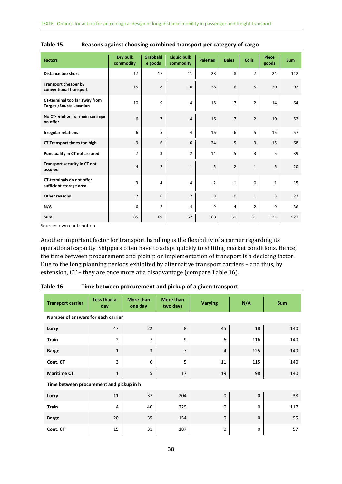| <b>Factors</b>                                                  | Dry bulk<br>commodity | <b>Grabbabl</b><br>e goods | <b>Liquid bulk</b><br>commodity | <b>Palettes</b> | <b>Bales</b>   | <b>Coils</b>   | <b>Piece</b><br>goods | <b>Sum</b> |
|-----------------------------------------------------------------|-----------------------|----------------------------|---------------------------------|-----------------|----------------|----------------|-----------------------|------------|
| Distance too short                                              | 17                    | 17                         | 11                              | 28              | 8              | $\overline{7}$ | 24                    | 112        |
| Transport cheaper by<br>conventional transport                  | 15                    | 8                          | 10                              | 28              | 6              | 5              | 20                    | 92         |
| CT-terminal too far away from<br><b>Target-/Source Location</b> | 10                    | 9                          | 4                               | 18              | $\overline{7}$ | $\overline{2}$ | 14                    | 64         |
| No CT-relation for main carriage<br>on offer                    | 6                     | $\overline{7}$             | 4                               | 16              | $\overline{7}$ | $\overline{2}$ | 10                    | 52         |
| <b>Irregular relations</b>                                      | 6                     | 5                          | 4                               | 16              | 6              | 5              | 15                    | 57         |
| <b>CT Transport times too high</b>                              | 9                     | 6                          | 6                               | 24              | 5              | 3              | 15                    | 68         |
| <b>Punctuality in CT not assured</b>                            | $\overline{7}$        | 3                          | $\overline{2}$                  | 14              | 5              | 3              | 5                     | 39         |
| Transport security in CT not<br>assured                         | $\overline{4}$        | $\overline{2}$             | $\mathbf{1}$                    | 5               | $\overline{2}$ | $\mathbf{1}$   | 5                     | 20         |
| <b>CT-terminals do not offer</b><br>sufficient storage area     | 3                     | $\overline{4}$             | 4                               | $\overline{2}$  | $\mathbf{1}$   | $\Omega$       | $\mathbf{1}$          | 15         |
| Other reasons                                                   | $\overline{2}$        | 6                          | $\overline{2}$                  | 8               | $\Omega$       | $\mathbf{1}$   | 3                     | 22         |
| N/A                                                             | 6                     | $\overline{2}$             | 4                               | 9               | 4              | $\overline{2}$ | 9                     | 36         |
| Sum                                                             | 85                    | 69                         | 52                              | 168             | 51             | 31             | 121                   | 577        |

<span id="page-36-0"></span>

| Table 15: | Reasons against choosing combined transport per category of cargo |  |  |
|-----------|-------------------------------------------------------------------|--|--|
|-----------|-------------------------------------------------------------------|--|--|

Another important factor for transport handling is the flexibility of a carrier regarding its operational capacity. Shippers often have to adapt quickly to shifting market conditions. Hence, the time between procurement and pickup or implementation of transport is a deciding factor. Due to the long planning periods exhibited by alternative transport carriers – and thus, by extension, CT – they are once more at a disadvantage (compare [Table 16\)](#page-36-1).

<span id="page-36-1"></span>

| Table 16: |  | Time between procurement and pickup of a given transport |
|-----------|--|----------------------------------------------------------|
|-----------|--|----------------------------------------------------------|

| <b>Transport carrier</b>                 | Less than a<br>day | <b>More than</b><br>one day | <b>More than</b><br>two days | <b>Varying</b> | N/A         | <b>Sum</b> |
|------------------------------------------|--------------------|-----------------------------|------------------------------|----------------|-------------|------------|
| Number of answers for each carrier       |                    |                             |                              |                |             |            |
| Lorry                                    | 47                 | 22                          | 8                            | 45             | 18          | 140        |
| <b>Train</b>                             | $\overline{2}$     | $\overline{7}$              | 9                            | 6              | 116         | 140        |
| <b>Barge</b>                             | $\mathbf{1}$       | 3                           | $\overline{7}$               | $\overline{4}$ | 125         | 140        |
| Cont. CT                                 | 3                  | 6                           | 5                            | 11             | 115         | 140        |
| <b>Maritime CT</b>                       | $\mathbf{1}$       | 5                           | 17                           | 19             | 98          | 140        |
| Time between procurement and pickup in h |                    |                             |                              |                |             |            |
| Lorry                                    | 11                 | 37                          | 204                          | $\mathbf 0$    | $\mathbf 0$ | 38         |
| <b>Train</b>                             | 4                  | 40                          | 229                          | $\mathbf 0$    | 0           | 117        |
| <b>Barge</b>                             | 20                 | 35                          | 154                          | $\mathbf 0$    | 0           | 95         |
| Cont. CT                                 | 15                 | 31                          | 187                          | 0              | 0           | 57         |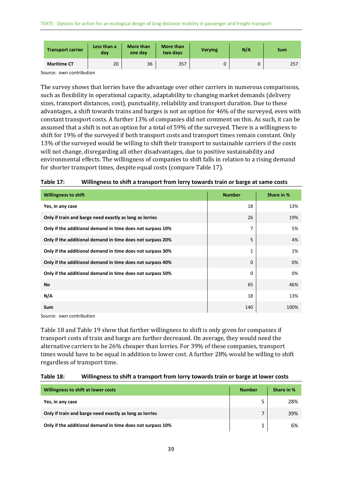| <b>Transport carrier</b> | Less than a<br>dav | <b>More than</b><br>one day | More than<br>two days | <b>Varying</b> | N/A | <b>Sum</b> |
|--------------------------|--------------------|-----------------------------|-----------------------|----------------|-----|------------|
| <b>Maritime CT</b>       | 20                 | 36                          | 357                   |                | 0   | 257        |

The survey shows that lorries have the advantage over other carriers in numerous comparisons, such as flexibility in operational capacity, adaptability to changing market demands (delivery sizes, transport distances, cost), punctuality, reliability and transport duration. Due to these advantages, a shift towards trains and barges is not an option for 46% of the surveyed, even with constant transport costs. A further 13% of companies did not comment on this. As such, it can be assumed that a shift is not an option for a total of 59% of the surveyed. There is a willingness to shift for 19% of the surveyed if both transport costs and transport times remain constant. Only 13% of the surveyed would be willing to shift their transport to sustainable carriers if the costs will not change, disregarding all other disadvantages, due to positive sustainability and environmental effects. The willingness of companies to shift falls in relation to a rising demand for shorter transport times, despite equal costs (compar[e Table 17\)](#page-37-0).

| <b>Willingness to shift</b>                                | <b>Number</b> | Share in % |
|------------------------------------------------------------|---------------|------------|
| Yes, in any case                                           | 18            | 13%        |
| Only if train and barge need exactly as long as lorries    | 26            | 19%        |
| Only if the additional demand in time does not surpass 10% | 7             | 5%         |
| Only if the additional demand in time does not surpass 20% | 5             | 4%         |
| Only if the additional demand in time does not surpass 30% | 1             | 1%         |
| Only if the additional demand in time does not surpass 40% | 0             | 0%         |
| Only if the additional demand in time does not surpass 50% | 0             | 0%         |
| No                                                         | 65            | 46%        |
| N/A                                                        | 18            | 13%        |
| <b>Sum</b>                                                 | 140           | 100%       |

<span id="page-37-0"></span>

| Table 17: | Willingness to shift a transport from lorry towards train or barge at same costs |  |  |  |
|-----------|----------------------------------------------------------------------------------|--|--|--|
|-----------|----------------------------------------------------------------------------------|--|--|--|

Source: own contribution

[Table 18](#page-37-1) an[d Table 19](#page-38-0) show that further willingness to shift is only given for companies if transport costs of train and barge are further decreased. On average, they would need the alternative carriers to be 26% cheaper than lorries. For 39% of these companies, transport times would have to be equal in addition to lower cost. A further 28% would be willing to shift regardless of transport time.

#### <span id="page-37-1"></span>**Table 18: Willingness to shift a transport from lorry towards train or barge at lower costs**

| Willingness to shift at lower costs                        | <b>Number</b> | Share in % |
|------------------------------------------------------------|---------------|------------|
| Yes, in any case                                           |               | 28%        |
| Only if train and barge need exactly as long as lorries    |               | 39%        |
| Only if the additional demand in time does not surpass 10% |               | 6%         |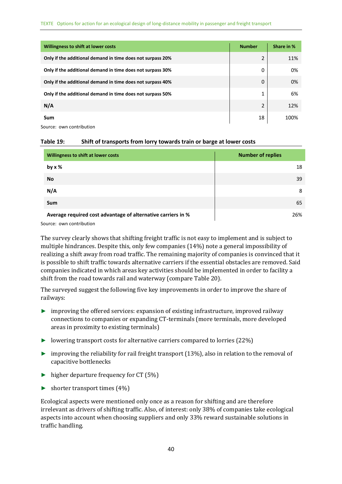| Willingness to shift at lower costs                        | <b>Number</b> | Share in % |
|------------------------------------------------------------|---------------|------------|
| Only if the additional demand in time does not surpass 20% | 2             | 11%        |
| Only if the additional demand in time does not surpass 30% | 0             | 0%         |
| Only if the additional demand in time does not surpass 40% | 0             | 0%         |
| Only if the additional demand in time does not surpass 50% | 1             | 6%         |
| N/A                                                        | 2             | 12%        |
| Sum                                                        | 18            | 100%       |

<span id="page-38-0"></span>

| Table 19: | Shift of transports from lorry towards train or barge at lower costs |  |
|-----------|----------------------------------------------------------------------|--|
|-----------|----------------------------------------------------------------------|--|

| Willingness to shift at lower costs                          | <b>Number of replies</b> |
|--------------------------------------------------------------|--------------------------|
| by $x$ %                                                     | 18                       |
| No                                                           | 39                       |
| N/A                                                          | 8                        |
| <b>Sum</b>                                                   | 65                       |
| Average required cost advantage of alternative carriers in % | 26%                      |

Source: own contribution

The survey clearly shows that shifting freight traffic is not easy to implement and is subject to multiple hindrances. Despite this, only few companies (14%) note a general impossibility of realizing a shift away from road traffic. The remaining majority of companies is convinced that it is possible to shift traffic towards alternative carriers if the essential obstacles are removed. Said companies indicated in which areas key activities should be implemented in order to facility a shift from the road towards rail and waterway (compare [Table 20\)](#page-39-0).

The surveyed suggest the following five key improvements in order to improve the share of railways:

- ► improving the offered services: expansion of existing infrastructure, improved railway connections to companies or expanding CT-terminals (more terminals, more developed areas in proximity to existing terminals)
- ► lowering transport costs for alternative carriers compared to lorries (22%)
- ► improving the reliability for rail freight transport (13%), also in relation to the removal of capacitive bottlenecks
- ► higher departure frequency for CT (5%)
- $\blacktriangleright$  shorter transport times (4%)

Ecological aspects were mentioned only once as a reason for shifting and are therefore irrelevant as drivers of shifting traffic. Also, of interest: only 38% of companies take ecological aspects into account when choosing suppliers and only 33% reward sustainable solutions in traffic handling.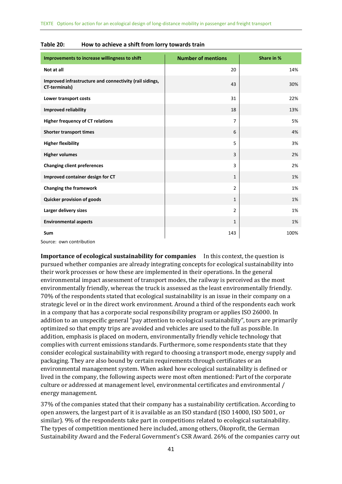| Improvements to increase willingness to shift                                   | <b>Number of mentions</b> | Share in % |
|---------------------------------------------------------------------------------|---------------------------|------------|
| Not at all                                                                      | 20                        | 14%        |
| Improved infrastructure and connectivity (rail sidings,<br><b>CT-terminals)</b> | 43                        | 30%        |
| Lower transport costs                                                           | 31                        | 22%        |
| <b>Improved reliability</b>                                                     | 18                        | 13%        |
| <b>Higher frequency of CT relations</b>                                         | $\overline{7}$            | 5%         |
| <b>Shorter transport times</b>                                                  | 6                         | 4%         |
| <b>Higher flexibility</b>                                                       | 5                         | 3%         |
| <b>Higher volumes</b>                                                           | 3                         | 2%         |
| <b>Changing client preferences</b>                                              | 3                         | 2%         |
| Improved container design for CT                                                | $\mathbf{1}$              | 1%         |
| <b>Changing the framework</b>                                                   | $\overline{2}$            | 1%         |
| Quicker provision of goods                                                      | $\mathbf{1}$              | 1%         |
| Larger delivery sizes                                                           | $\overline{2}$            | 1%         |
| <b>Environmental aspects</b>                                                    | $\mathbf{1}$              | 1%         |
| Sum                                                                             | 143                       | 100%       |

<span id="page-39-0"></span>

| Table 20: | How to achieve a shift from lorry towards train |  |
|-----------|-------------------------------------------------|--|
|-----------|-------------------------------------------------|--|

**Importance of ecological sustainability for companies** In this context, the question is pursued whether companies are already integrating concepts for ecological sustainability into their work processes or how these are implemented in their operations. In the general environmental impact assessment of transport modes, the railway is perceived as the most environmentally friendly, whereas the truck is assessed as the least environmentally friendly. 70% of the respondents stated that ecological sustainability is an issue in their company on a strategic level or in the direct work environment. Around a third of the respondents each work in a company that has a corporate social responsibility program or applies ISO 26000. In addition to an unspecific general "pay attention to ecological sustainability", tours are primarily optimized so that empty trips are avoided and vehicles are used to the full as possible. In addition, emphasis is placed on modern, environmentally friendly vehicle technology that complies with current emissions standards. Furthermore, some respondents state that they consider ecological sustainability with regard to choosing a transport mode, energy supply and packaging. They are also bound by certain requirements through certificates or an environmental management system. When asked how ecological sustainability is defined or lived in the company, the following aspects were most often mentioned: Part of the corporate culture or addressed at management level, environmental certificates and environmental / energy management.

37% of the companies stated that their company has a sustainability certification. According to open answers, the largest part of it is available as an ISO standard (ISO 14000, ISO 5001, or similar). 9% of the respondents take part in competitions related to ecological sustainability. The types of competition mentioned here included, among others, Ökoprofit, the German Sustainability Award and the Federal Government's CSR Award. 26% of the companies carry out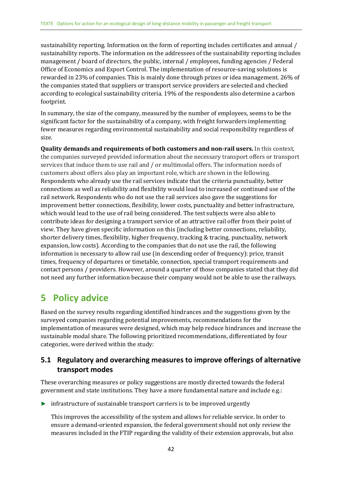sustainability reporting. Information on the form of reporting includes certificates and annual / sustainability reports. The information on the addressees of the sustainability reporting includes management / board of directors, the public, internal / employees, funding agencies / Federal Office of Economics and Export Control. The implementation of resource-saving solutions is rewarded in 23% of companies. This is mainly done through prizes or idea management. 26% of the companies stated that suppliers or transport service providers are selected and checked according to ecological sustainability criteria. 19% of the respondents also determine a carbon footprint.

In summary, the size of the company, measured by the number of employees, seems to be the significant factor for the sustainability of a company, with freight forwarders implementing fewer measures regarding environmental sustainability and social responsibility regardless of size.

**Quality demands and requirements of both customers and non-rail users.** In this context, the companies surveyed provided information about the necessary transport offers or transport services that induce them to use rail and / or multimodal offers. The information needs of customers about offers also play an important role, which are shown in the following. Respondents who already use the rail services indicate that the criteria punctuality, better connections as well as reliability and flexibility would lead to increased or continued use of the rail network. Respondents who do not use the rail services also gave the suggestions for improvement better connections, flexibility, lower costs, punctuality and better infrastructure, which would lead to the use of rail being considered. The test subjects were also able to contribute ideas for designing a transport service of an attractive rail offer from their point of view. They have given specific information on this (including better connections, reliability, shorter delivery times, flexibility, higher frequency, tracking & tracing, punctuality, network expansion, low costs). According to the companies that do not use the rail, the following information is necessary to allow rail use (in descending order of frequency): price, transit times, frequency of departures or timetable, connection, special transport requirements and contact persons / providers. However, around a quarter of those companies stated that they did not need any further information because their company would not be able to use the railways.

# <span id="page-40-0"></span>**5 Policy advice**

Based on the survey results regarding identified hindrances and the suggestions given by the surveyed companies regarding potential improvements, recommendations for the implementation of measures were designed, which may help reduce hindrances and increase the sustainable modal share. The following prioritized recommendations, differentiated by four categories, were derived within the study:

### <span id="page-40-1"></span>**5.1 Regulatory and overarching measures to improve offerings of alternative transport modes**

These overarching measures or policy suggestions are mostly directed towards the federal government and state institutions. They have a more fundamental nature and include e.g.:

► infrastructure of sustainable transport carriers is to be improved urgently

This improves the accessibility of the system and allows for reliable service. In order to ensure a demand-oriented expansion, the federal government should not only review the measures included in the FTIP regarding the validity of their extension approvals, but also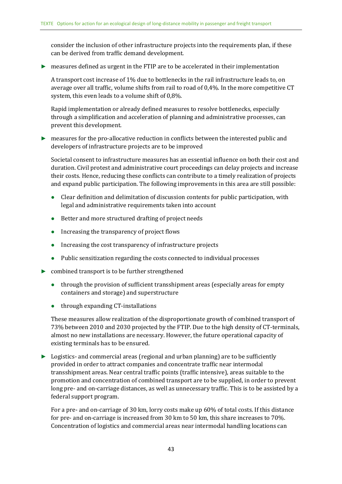consider the inclusion of other infrastructure projects into the requirements plan, if these can be derived from traffic demand development.

 $\blacktriangleright$  measures defined as urgent in the FTIP are to be accelerated in their implementation

A transport cost increase of 1% due to bottlenecks in the rail infrastructure leads to, on average over all traffic, volume shifts from rail to road of 0,4%. In the more competitive CT system, this even leads to a volume shift of 0,8%.

Rapid implementation or already defined measures to resolve bottlenecks, especially through a simplification and acceleration of planning and administrative processes, can prevent this development.

► measures for the pro-allocative reduction in conflicts between the interested public and developers of infrastructure projects are to be improved

Societal consent to infrastructure measures has an essential influence on both their cost and duration. Civil protest and administrative court proceedings can delay projects and increase their costs. Hence, reducing these conflicts can contribute to a timely realization of projects and expand public participation. The following improvements in this area are still possible:

- ⚫ Clear definition and delimitation of discussion contents for public participation, with legal and administrative requirements taken into account
- Better and more structured drafting of project needs
- ⚫ Increasing the transparency of project flows
- Increasing the cost transparency of infrastructure projects
- ⚫ Public sensitization regarding the costs connected to individual processes
- $\triangleright$  combined transport is to be further strengthened
	- ⚫ through the provision of sufficient transshipment areas (especially areas for empty containers and storage) and superstructure
	- through expanding CT-installations

These measures allow realization of the disproportionate growth of combined transport of 73% between 2010 and 2030 projected by the FTIP. Due to the high density of CT-terminals, almost no new installations are necessary. However, the future operational capacity of existing terminals has to be ensured.

 $\triangleright$  Logistics- and commercial areas (regional and urban planning) are to be sufficiently provided in order to attract companies and concentrate traffic near intermodal transshipment areas. Near central traffic points (traffic intensive), areas suitable to the promotion and concentration of combined transport are to be supplied, in order to prevent long pre- and on-carriage distances, as well as unnecessary traffic. This is to be assisted by a federal support program.

For a pre- and on-carriage of 30 km, lorry costs make up 60% of total costs. If this distance for pre- and on-carriage is increased from 30 km to 50 km, this share increases to 70%. Concentration of logistics and commercial areas near intermodal handling locations can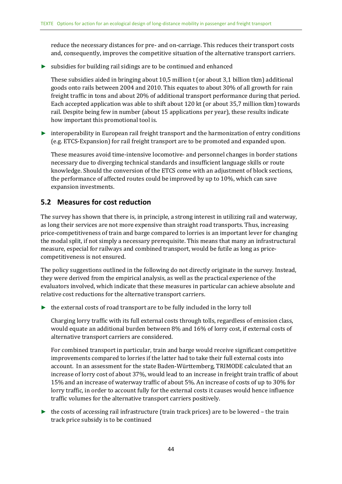reduce the necessary distances for pre- and on-carriage. This reduces their transport costs and, consequently, improves the competitive situation of the alternative transport carriers.

 $\triangleright$  subsidies for building rail sidings are to be continued and enhanced

These subsidies aided in bringing about 10,5 million t (or about 3,1 billion tkm) additional goods onto rails between 2004 and 2010. This equates to about 30% of all growth for rain freight traffic in tons and about 20% of additional transport performance during that period. Each accepted application was able to shift about 120 kt (or about 35,7 million tkm) towards rail. Despite being few in number (about 15 applications per year), these results indicate how important this promotional tool is.

► interoperability in European rail freight transport and the harmonization of entry conditions (e.g. ETCS-Expansion) for rail freight transport are to be promoted and expanded upon.

These measures avoid time-intensive locomotive- and personnel changes in border stations necessary due to diverging technical standards and insufficient language skills or route knowledge. Should the conversion of the ETCS come with an adjustment of block sections, the performance of affected routes could be improved by up to 10%, which can save expansion investments.

### <span id="page-42-0"></span>**5.2 Measures for cost reduction**

The survey has shown that there is, in principle, a strong interest in utilizing rail and waterway, as long their services are not more expensive than straight road transports. Thus, increasing price-competitiveness of train and barge compared to lorries is an important lever for changing the modal split, if not simply a necessary prerequisite. This means that many an infrastructural measure, especial for railways and combined transport, would be futile as long as pricecompetitiveness is not ensured.

The policy suggestions outlined in the following do not directly originate in the survey. Instead, they were derived from the empirical analysis, as well as the practical experience of the evaluators involved, which indicate that these measures in particular can achieve absolute and relative cost reductions for the alternative transport carriers.

► the external costs of road transport are to be fully included in the lorry toll

Charging lorry traffic with its full external costs through tolls, regardless of emission class, would equate an additional burden between 8% and 16% of lorry cost, if external costs of alternative transport carriers are considered.

For combined transport in particular, train and barge would receive significant competitive improvements compared to lorries if the latter had to take their full external costs into account. In an assessment for the state Baden-Württemberg, TRIMODE calculated that an increase of lorry cost of about 37%, would lead to an increase in freight train traffic of about 15% and an increase of waterway traffic of about 5%. An increase of costs of up to 30% for lorry traffic, in order to account fully for the external costs it causes would hence influence traffic volumes for the alternative transport carriers positively.

► the costs of accessing rail infrastructure (train track prices) are to be lowered – the train track price subsidy is to be continued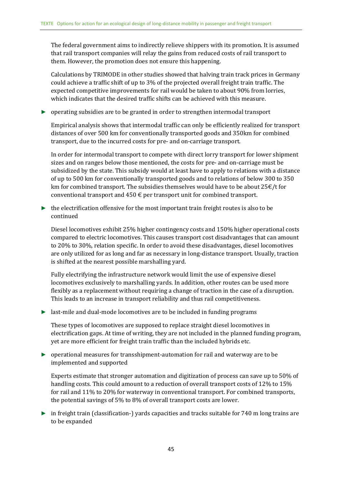The federal government aims to indirectly relieve shippers with its promotion. It is assumed that rail transport companies will relay the gains from reduced costs of rail transport to them. However, the promotion does not ensure this happening.

Calculations by TRIMODE in other studies showed that halving train track prices in Germany could achieve a traffic shift of up to 3% of the projected overall freight train traffic. The expected competitive improvements for rail would be taken to about 90% from lorries, which indicates that the desired traffic shifts can be achieved with this measure.

► operating subsidies are to be granted in order to strengthen intermodal transport

Empirical analysis shows that intermodal traffic can only be efficiently realized for transport distances of over 500 km for conventionally transported goods and 350km for combined transport, due to the incurred costs for pre- and on-carriage transport.

In order for intermodal transport to compete with direct lorry transport for lower shipment sizes and on ranges below those mentioned, the costs for pre- and on-carriage must be subsidized by the state. This subsidy would at least have to apply to relations with a distance of up to 500 km for conventionally transported goods and to relations of below 300 to 350 km for combined transport. The subsidies themselves would have to be about  $25 \epsilon/t$  for conventional transport and  $450 \text{ } \in$  per transport unit for combined transport.

 $\triangleright$  the electrification offensive for the most important train freight routes is also to be continued

Diesel locomotives exhibit 25% higher contingency costs and 150% higher operational costs compared to electric locomotives. This causes transport cost disadvantages that can amount to 20% to 30%, relation specific. In order to avoid these disadvantages, diesel locomotives are only utilized for as long and far as necessary in long-distance transport. Usually, traction is shifted at the nearest possible marshalling yard.

Fully electrifying the infrastructure network would limit the use of expensive diesel locomotives exclusively to marshalling yards. In addition, other routes can be used more flexibly as a replacement without requiring a change of traction in the case of a disruption. This leads to an increase in transport reliability and thus rail competitiveness.

► last-mile and dual-mode locomotives are to be included in funding programs

These types of locomotives are supposed to replace straight diesel locomotives in electrification gaps. At time of writing, they are not included in the planned funding program, yet are more efficient for freight train traffic than the included hybrids etc.

► operational measures for transshipment-automation for rail and waterway are to be implemented and supported

Experts estimate that stronger automation and digitization of process can save up to 50% of handling costs. This could amount to a reduction of overall transport costs of 12% to 15% for rail and 11% to 20% for waterway in conventional transport. For combined transports, the potential savings of 5% to 8% of overall transport costs are lower.

► in freight train (classification-) yards capacities and tracks suitable for 740 m long trains are to be expanded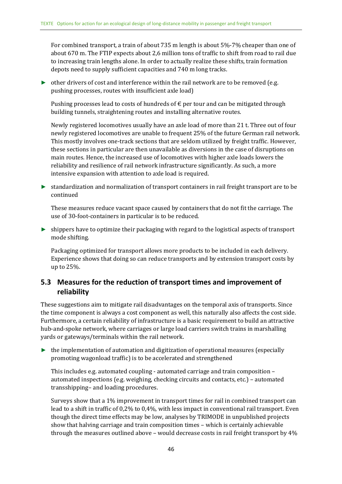For combined transport, a train of about 735 m length is about 5%-7% cheaper than one of about 670 m. The FTIP expects about 2,6 million tons of traffic to shift from road to rail due to increasing train lengths alone. In order to actually realize these shifts, train formation depots need to supply sufficient capacities and 740 m long tracks.

► other drivers of cost and interference within the rail network are to be removed (e.g. pushing processes, routes with insufficient axle load)

Pushing processes lead to costs of hundreds of  $\epsilon$  per tour and can be mitigated through building tunnels, straightening routes and installing alternative routes.

Newly registered locomotives usually have an axle load of more than 21 t. Three out of four newly registered locomotives are unable to frequent 25% of the future German rail network. This mostly involves one-track sections that are seldom utilized by freight traffic. However, these sections in particular are then unavailable as diversions in the case of disruptions on main routes. Hence, the increased use of locomotives with higher axle loads lowers the reliability and resilience of rail network infrastructure significantly. As such, a more intensive expansion with attention to axle load is required.

► standardization and normalization of transport containers in rail freight transport are to be continued

These measures reduce vacant space caused by containers that do not fit the carriage. The use of 30-foot-containers in particular is to be reduced.

► shippers have to optimize their packaging with regard to the logistical aspects of transport mode shifting.

Packaging optimized for transport allows more products to be included in each delivery. Experience shows that doing so can reduce transports and by extension transport costs by up to 25%.

### <span id="page-44-0"></span>**5.3 Measures for the reduction of transport times and improvement of reliability**

These suggestions aim to mitigate rail disadvantages on the temporal axis of transports. Since the time component is always a cost component as well, this naturally also affects the cost side. Furthermore, a certain reliability of infrastructure is a basic requirement to build an attractive hub-and-spoke network, where carriages or large load carriers switch trains in marshalling yards or gateways/terminals within the rail network.

 $\triangleright$  the implementation of automation and digitization of operational measures (especially promoting wagonload traffic) is to be accelerated and strengthened

This includes e.g. automated coupling - automated carriage and train composition – automated inspections (e.g. weighing, checking circuits and contacts, etc.) – automated transshipping– and loading procedures.

Surveys show that a 1% improvement in transport times for rail in combined transport can lead to a shift in traffic of 0,2% to 0,4%, with less impact in conventional rail transport. Even though the direct time effects may be low, analyses by TRIMODE in unpublished projects show that halving carriage and train composition times – which is certainly achievable through the measures outlined above – would decrease costs in rail freight transport by 4%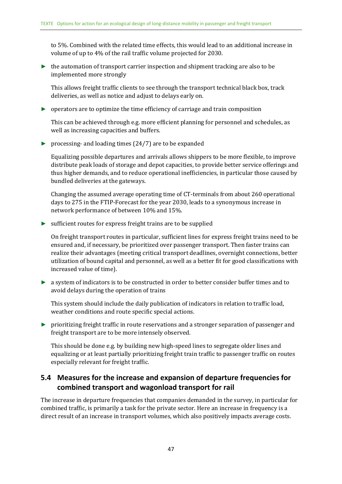to 5%. Combined with the related time effects, this would lead to an additional increase in volume of up to 4% of the rail traffic volume projected for 2030.

 $\blacktriangleright$  the automation of transport carrier inspection and shipment tracking are also to be implemented more strongly

This allows freight traffic clients to see through the transport technical black box, track deliveries, as well as notice and adjust to delays early on.

► operators are to optimize the time efficiency of carriage and train composition

This can be achieved through e.g. more efficient planning for personnel and schedules, as well as increasing capacities and buffers.

 $\triangleright$  processing- and loading times (24/7) are to be expanded

Equalizing possible departures and arrivals allows shippers to be more flexible, to improve distribute peak loads of storage and depot capacities, to provide better service offerings and thus higher demands, and to reduce operational inefficiencies, in particular those caused by bundled deliveries at the gateways.

Changing the assumed average operating time of CT-terminals from about 260 operational days to 275 in the FTIP-Forecast for the year 2030, leads to a synonymous increase in network performance of between 10% and 15%.

 $\triangleright$  sufficient routes for express freight trains are to be supplied

On freight transport routes in particular, sufficient lines for express freight trains need to be ensured and, if necessary, be prioritized over passenger transport. Then faster trains can realize their advantages (meeting critical transport deadlines, overnight connections, better utilization of bound capital and personnel, as well as a better fit for good classifications with increased value of time).

► a system of indicators is to be constructed in order to better consider buffer times and to avoid delays during the operation of trains

This system should include the daily publication of indicators in relation to traffic load, weather conditions and route specific special actions.

► prioritizing freight traffic in route reservations and a stronger separation of passenger and freight transport are to be more intensely observed.

This should be done e.g. by building new high-speed lines to segregate older lines and equalizing or at least partially prioritizing freight train traffic to passenger traffic on routes especially relevant for freight traffic.

### <span id="page-45-0"></span>**5.4 Measures for the increase and expansion of departure frequencies for combined transport and wagonload transport for rail**

The increase in departure frequencies that companies demanded in the survey, in particular for combined traffic, is primarily a task for the private sector. Here an increase in frequency is a direct result of an increase in transport volumes, which also positively impacts average costs.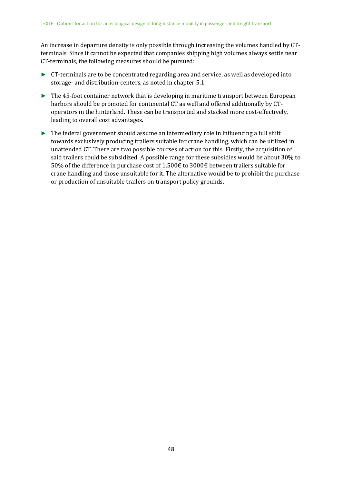An increase in departure density is only possible through increasing the volumes handled by CTterminals. Since it cannot be expected that companies shipping high volumes always settle near CT-terminals, the following measures should be pursued:

- ► CT-terminals are to be concentrated regarding area and service, as well as developed into storage- and distribution-centers, as noted in chapter 5.1.
- ► The 45-foot container network that is developing in maritime transport between European harbors should be promoted for continental CT as well and offered additionally by CToperators in the hinterland. These can be transported and stacked more cost-effectively, leading to overall cost advantages.
- ► The federal government should assume an intermediary role in influencing a full shift towards exclusively producing trailers suitable for crane handling, which can be utilized in unattended CT. There are two possible courses of action for this. Firstly, the acquisition of said trailers could be subsidized. A possible range for these subsidies would be about 30% to 50% of the difference in purchase cost of 1.500€ to 3000€ between trailers suitable for crane handling and those unsuitable for it. The alternative would be to prohibit the purchase or production of unsuitable trailers on transport policy grounds.